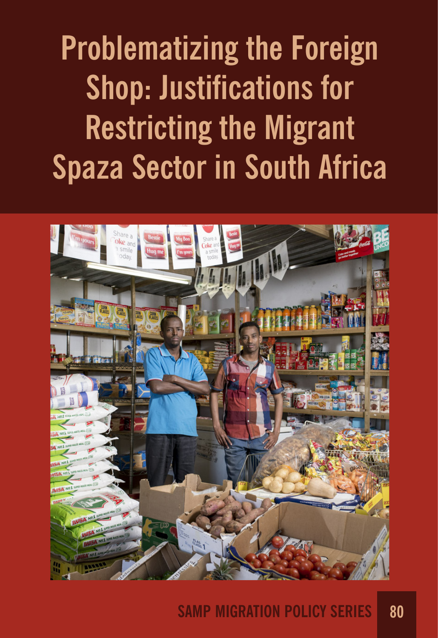**Problematizing the Foreign Shop: Justifications for Restricting the Migrant Spaza Sector in South Africa**



## **SAMP MIGRATION POLICY SERIES 80**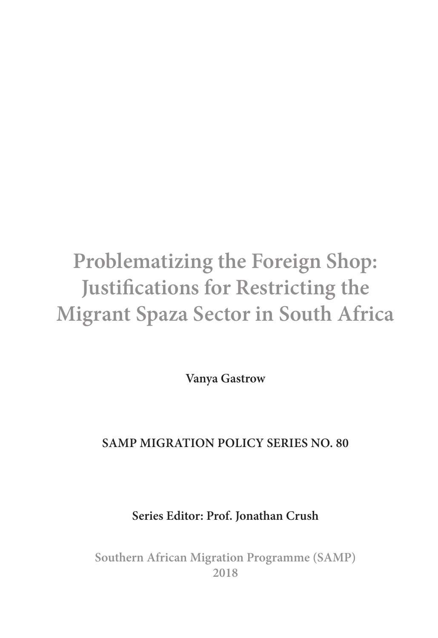# **Problematizing the Foreign Shop: Justifcations for Restricting the Migrant Spaza Sector in South Africa**

**Vanya Gastrow**

## **SAMP MIGRATION POLICY SERIES NO. 80**

**Series Editor: Prof. Jonathan Crush**

**Southern African Migration Programme (SAMP) 2018**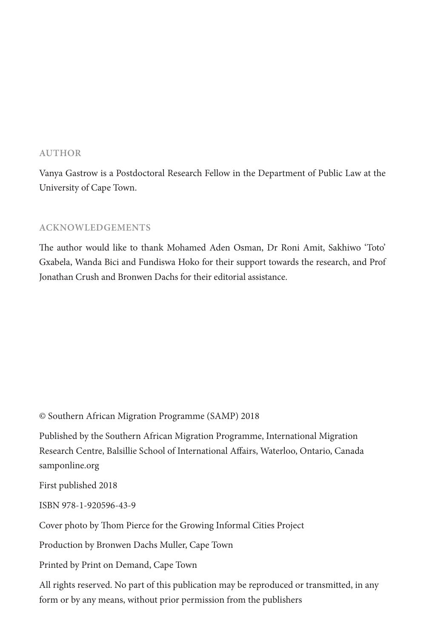#### **AUTHOR**

Vanya Gastrow is a Postdoctoral Research Fellow in the Department of Public Law at the University of Cape Town.

#### **ACKNOWLEDGEMENTS**

The author would like to thank Mohamed Aden Osman, Dr Roni Amit, Sakhiwo 'Toto' Gxabela, Wanda Bici and Fundiswa Hoko for their support towards the research, and Prof Jonathan Crush and Bronwen Dachs for their editorial assistance.

© Southern African Migration Programme (SAMP) 2018

Published by the Southern African Migration Programme, International Migration Research Centre, Balsillie School of International Afairs, Waterloo, Ontario, Canada [samponline.org](http://samponline.org)

First published 2018

ISBN 978-1-920596-43-9

Cover photo by Thom Pierce for the Growing Informal Cities Project

Production by Bronwen Dachs Muller, Cape Town

Printed by Print on Demand, Cape Town

All rights reserved. No part of this publication may be reproduced or transmitted, in any form or by any means, without prior permission from the publishers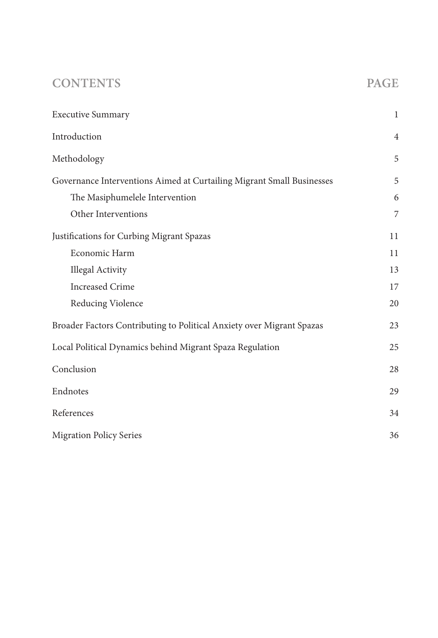## **CONTENTS PAGE**

| <b>Executive Summary</b>                                              | $\mathbf{1}$   |
|-----------------------------------------------------------------------|----------------|
| Introduction                                                          | $\overline{4}$ |
| Methodology                                                           | 5              |
| Governance Interventions Aimed at Curtailing Migrant Small Businesses | 5              |
| The Masiphumelele Intervention                                        | 6              |
| Other Interventions                                                   | 7              |
| Justifications for Curbing Migrant Spazas                             | 11             |
| Economic Harm                                                         | 11             |
| <b>Illegal Activity</b>                                               | 13             |
| <b>Increased Crime</b>                                                | 17             |
| Reducing Violence                                                     | 20             |
| Broader Factors Contributing to Political Anxiety over Migrant Spazas | 23             |
| Local Political Dynamics behind Migrant Spaza Regulation              | 25             |
| Conclusion                                                            | 28             |
| Endnotes                                                              | 29             |
| References                                                            | 34             |
| <b>Migration Policy Series</b>                                        | 36             |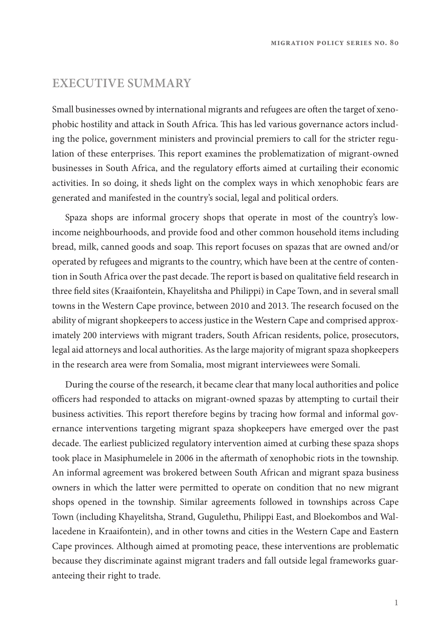### **EXECUTIVE SUMMARY**

Small businesses owned by international migrants and refugees are ofen the target of xenophobic hostility and attack in South Africa. Tis has led various governance actors including the police, government ministers and provincial premiers to call for the stricter regulation of these enterprises. Tis report examines the problematization of migrant-owned businesses in South Africa, and the regulatory eforts aimed at curtailing their economic activities. In so doing, it sheds light on the complex ways in which xenophobic fears are generated and manifested in the country's social, legal and political orders.

Spaza shops are informal grocery shops that operate in most of the country's lowincome neighbourhoods, and provide food and other common household items including bread, milk, canned goods and soap. Tis report focuses on spazas that are owned and/or operated by refugees and migrants to the country, which have been at the centre of contention in South Africa over the past decade. The report is based on qualitative field research in three feld sites (Kraaifontein, Khayelitsha and Philippi) in Cape Town, and in several small towns in the Western Cape province, between 2010 and 2013. The research focused on the ability of migrant shopkeepers to access justice in the Western Cape and comprised approximately 200 interviews with migrant traders, South African residents, police, prosecutors, legal aid attorneys and local authorities. As the large majority of migrant spaza shopkeepers in the research area were from Somalia, most migrant interviewees were Somali.

During the course of the research, it became clear that many local authorities and police officers had responded to attacks on migrant-owned spazas by attempting to curtail their business activities. This report therefore begins by tracing how formal and informal governance interventions targeting migrant spaza shopkeepers have emerged over the past decade. The earliest publicized regulatory intervention aimed at curbing these spaza shops took place in Masiphumelele in 2006 in the afermath of xenophobic riots in the township. An informal agreement was brokered between South African and migrant spaza business owners in which the latter were permitted to operate on condition that no new migrant shops opened in the township. Similar agreements followed in townships across Cape Town (including Khayelitsha, Strand, Gugulethu, Philippi East, and Bloekombos and Wallacedene in Kraaifontein), and in other towns and cities in the Western Cape and Eastern Cape provinces. Although aimed at promoting peace, these interventions are problematic because they discriminate against migrant traders and fall outside legal frameworks guaranteeing their right to trade.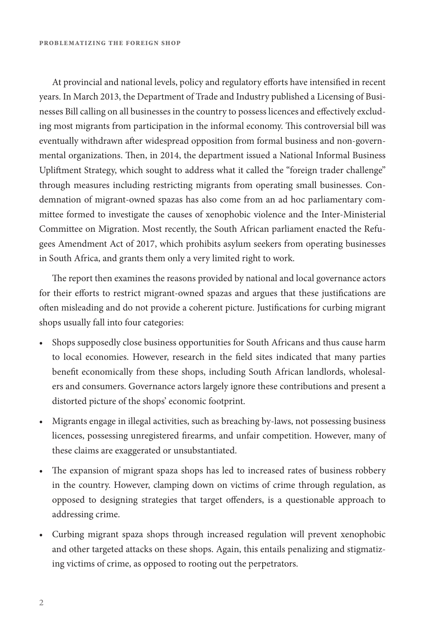At provincial and national levels, policy and regulatory efforts have intensified in recent years. In March 2013, the Department of Trade and Industry published a Licensing of Businesses Bill calling on all businesses in the country to possess licences and efectively excluding most migrants from participation in the informal economy. Tis controversial bill was eventually withdrawn afer widespread opposition from formal business and non-governmental organizations. Then, in 2014, the department issued a National Informal Business Uplifment Strategy, which sought to address what it called the "foreign trader challenge" through measures including restricting migrants from operating small businesses. Condemnation of migrant-owned spazas has also come from an ad hoc parliamentary committee formed to investigate the causes of xenophobic violence and the Inter-Ministerial Committee on Migration. Most recently, the South African parliament enacted the Refugees Amendment Act of 2017, which prohibits asylum seekers from operating businesses in South Africa, and grants them only a very limited right to work.

The report then examines the reasons provided by national and local governance actors for their eforts to restrict migrant-owned spazas and argues that these justifcations are ofen misleading and do not provide a coherent picture. Justifcations for curbing migrant shops usually fall into four categories:

- Shops supposedly close business opportunities for South Africans and thus cause harm to local economies. However, research in the feld sites indicated that many parties beneft economically from these shops, including South African landlords, wholesalers and consumers. Governance actors largely ignore these contributions and present a distorted picture of the shops' economic footprint.
- Migrants engage in illegal activities, such as breaching by-laws, not possessing business licences, possessing unregistered frearms, and unfair competition. However, many of these claims are exaggerated or unsubstantiated.
- The expansion of migrant spaza shops has led to increased rates of business robbery in the country. However, clamping down on victims of crime through regulation, as opposed to designing strategies that target ofenders, is a questionable approach to addressing crime.
- Curbing migrant spaza shops through increased regulation will prevent xenophobic and other targeted attacks on these shops. Again, this entails penalizing and stigmatizing victims of crime, as opposed to rooting out the perpetrators.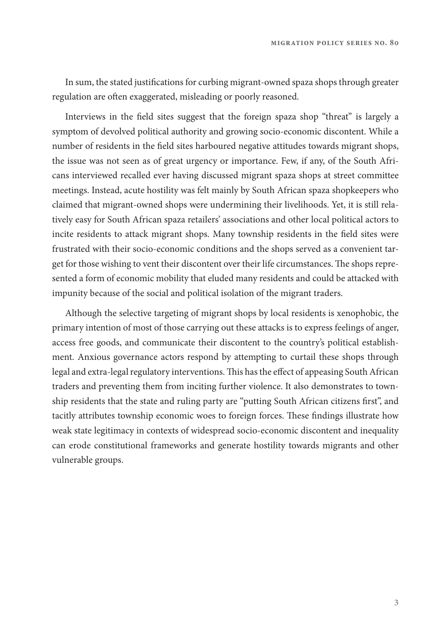**migration policy series no. 80**

In sum, the stated justifcations for curbing migrant-owned spaza shops through greater regulation are often exaggerated, misleading or poorly reasoned.

Interviews in the feld sites suggest that the foreign spaza shop "threat" is largely a symptom of devolved political authority and growing socio-economic discontent. While a number of residents in the feld sites harboured negative attitudes towards migrant shops, the issue was not seen as of great urgency or importance. Few, if any, of the South Africans interviewed recalled ever having discussed migrant spaza shops at street committee meetings. Instead, acute hostility was felt mainly by South African spaza shopkeepers who claimed that migrant-owned shops were undermining their livelihoods. Yet, it is still relatively easy for South African spaza retailers' associations and other local political actors to incite residents to attack migrant shops. Many township residents in the feld sites were frustrated with their socio-economic conditions and the shops served as a convenient target for those wishing to vent their discontent over their life circumstances. The shops represented a form of economic mobility that eluded many residents and could be attacked with impunity because of the social and political isolation of the migrant traders.

Although the selective targeting of migrant shops by local residents is xenophobic, the primary intention of most of those carrying out these attacks is to express feelings of anger, access free goods, and communicate their discontent to the country's political establishment. Anxious governance actors respond by attempting to curtail these shops through legal and extra-legal regulatory interventions. This has the effect of appeasing South African traders and preventing them from inciting further violence. It also demonstrates to township residents that the state and ruling party are "putting South African citizens frst", and tacitly attributes township economic woes to foreign forces. These findings illustrate how weak state legitimacy in contexts of widespread socio-economic discontent and inequality can erode constitutional frameworks and generate hostility towards migrants and other vulnerable groups.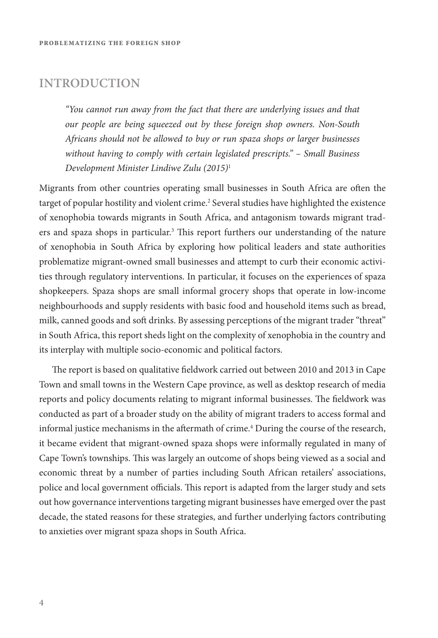### **INTRODUCTION**

*"You cannot run away from the fact that there are underlying issues and that our people are being squeezed out by these foreign shop owners. Non-South Africans should not be allowed to buy or run spaza shops or larger businesses without having to comply with certain legislated prescripts." – Small Business Development Minister Lindiwe Zulu (2015)*<sup>1</sup>

Migrants from other countries operating small businesses in South Africa are ofen the target of popular hostility and violent crime.<sup>2</sup> Several studies have highlighted the existence of xenophobia towards migrants in South Africa, and antagonism towards migrant traders and spaza shops in particular.<sup>3</sup> This report furthers our understanding of the nature of xenophobia in South Africa by exploring how political leaders and state authorities problematize migrant-owned small businesses and attempt to curb their economic activities through regulatory interventions. In particular, it focuses on the experiences of spaza shopkeepers. Spaza shops are small informal grocery shops that operate in low-income neighbourhoods and supply residents with basic food and household items such as bread, milk, canned goods and soft drinks. By assessing perceptions of the migrant trader "threat" in South Africa, this report sheds light on the complexity of xenophobia in the country and its interplay with multiple socio-economic and political factors.

The report is based on qualitative fieldwork carried out between 2010 and 2013 in Cape Town and small towns in the Western Cape province, as well as desktop research of media reports and policy documents relating to migrant informal businesses. The fieldwork was conducted as part of a broader study on the ability of migrant traders to access formal and informal justice mechanisms in the afermath of crime.4 During the course of the research, it became evident that migrant-owned spaza shops were informally regulated in many of Cape Town's townships. This was largely an outcome of shops being viewed as a social and economic threat by a number of parties including South African retailers' associations, police and local government officials. This report is adapted from the larger study and sets out how governance interventions targeting migrant businesses have emerged over the past decade, the stated reasons for these strategies, and further underlying factors contributing to anxieties over migrant spaza shops in South Africa.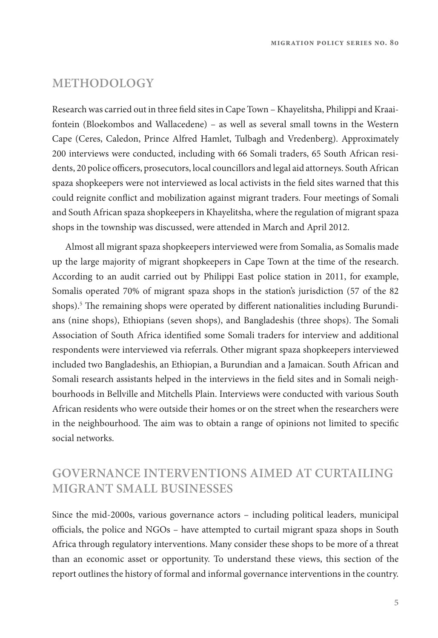## **METHODOLOGY**

Research was carried out in three feld sites in Cape Town – Khayelitsha, Philippi and Kraaifontein (Bloekombos and Wallacedene) – as well as several small towns in the Western Cape (Ceres, Caledon, Prince Alfred Hamlet, Tulbagh and Vredenberg). Approximately 200 interviews were conducted, including with 66 Somali traders, 65 South African residents, 20 police officers, prosecutors, local councillors and legal aid attorneys. South African spaza shopkeepers were not interviewed as local activists in the feld sites warned that this could reignite confict and mobilization against migrant traders. Four meetings of Somali and South African spaza shopkeepers in Khayelitsha, where the regulation of migrant spaza shops in the township was discussed, were attended in March and April 2012.

Almost all migrant spaza shopkeepers interviewed were from Somalia, as Somalis made up the large majority of migrant shopkeepers in Cape Town at the time of the research. According to an audit carried out by Philippi East police station in 2011, for example, Somalis operated 70% of migrant spaza shops in the station's jurisdiction (57 of the 82 shops).<sup>5</sup> The remaining shops were operated by different nationalities including Burundians (nine shops), Ethiopians (seven shops), and Bangladeshis (three shops). The Somali Association of South Africa identifed some Somali traders for interview and additional respondents were interviewed via referrals. Other migrant spaza shopkeepers interviewed included two Bangladeshis, an Ethiopian, a Burundian and a Jamaican. South African and Somali research assistants helped in the interviews in the feld sites and in Somali neighbourhoods in Bellville and Mitchells Plain. Interviews were conducted with various South African residents who were outside their homes or on the street when the researchers were in the neighbourhood. The aim was to obtain a range of opinions not limited to specific social networks.

## **GOVERNANCE INTERVENTIONS AIMED AT CURTAILING MIGRANT SMALL BUSINESSES**

Since the mid-2000s, various governance actors – including political leaders, municipal officials, the police and NGOs – have attempted to curtail migrant spaza shops in South Africa through regulatory interventions. Many consider these shops to be more of a threat than an economic asset or opportunity. To understand these views, this section of the report outlines the history of formal and informal governance interventions in the country.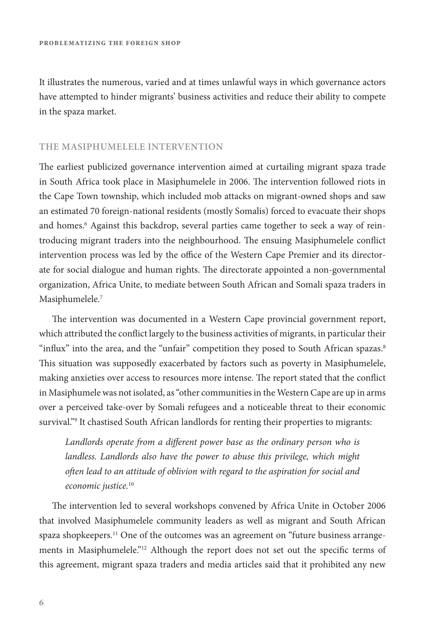It illustrates the numerous, varied and at times unlawful ways in which governance actors have attempted to hinder migrants' business activities and reduce their ability to compete in the spaza market.

#### **THE MASIPHUMELELE INTERVENTION**

The earliest publicized governance intervention aimed at curtailing migrant spaza trade in South Africa took place in Masiphumelele in 2006. The intervention followed riots in the Cape Town township, which included mob attacks on migrant-owned shops and saw an estimated 70 foreign-national residents (mostly Somalis) forced to evacuate their shops and homes.<sup>6</sup> Against this backdrop, several parties came together to seek a way of reintroducing migrant traders into the neighbourhood. The ensuing Masiphumelele conflict intervention process was led by the office of the Western Cape Premier and its directorate for social dialogue and human rights. The directorate appointed a non-governmental organization, Africa Unite, to mediate between South African and Somali spaza traders in Masiphumelele.<sup>7</sup>

The intervention was documented in a Western Cape provincial government report, which attributed the confict largely to the business activities of migrants, in particular their "influx" into the area, and the "unfair" competition they posed to South African spazas.<sup>8</sup> This situation was supposedly exacerbated by factors such as poverty in Masiphumelele, making anxieties over access to resources more intense. The report stated that the conflict in Masiphumele was not isolated, as "other communities in the Western Cape are up in arms over a perceived take-over by Somali refugees and a noticeable threat to their economic survival."9 It chastised South African landlords for renting their properties to migrants:

*Landlords operate from a di*f*erent power base as the ordinary person who is*  landless. Landlords also have the power to abuse this privilege, which might *o*f*en lead to an attitude of oblivion with regard to the aspiration for social and economic justice.*<sup>10</sup>

The intervention led to several workshops convened by Africa Unite in October 2006 that involved Masiphumelele community leaders as well as migrant and South African spaza shopkeepers.<sup>11</sup> One of the outcomes was an agreement on "future business arrangements in Masiphumelele."<sup>12</sup> Although the report does not set out the specific terms of this agreement, migrant spaza traders and media articles said that it prohibited any new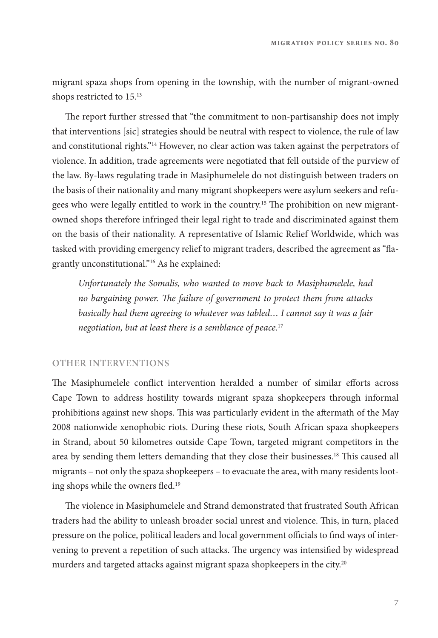migrant spaza shops from opening in the township, with the number of migrant-owned shops restricted to 15.<sup>13</sup>

The report further stressed that "the commitment to non-partisanship does not imply that interventions [sic] strategies should be neutral with respect to violence, the rule of law and constitutional rights."14 However, no clear action was taken against the perpetrators of violence. In addition, trade agreements were negotiated that fell outside of the purview of the law. By-laws regulating trade in Masiphumelele do not distinguish between traders on the basis of their nationality and many migrant shopkeepers were asylum seekers and refugees who were legally entitled to work in the country.<sup>15</sup> The prohibition on new migrantowned shops therefore infringed their legal right to trade and discriminated against them on the basis of their nationality. A representative of Islamic Relief Worldwide, which was tasked with providing emergency relief to migrant traders, described the agreement as "fagrantly unconstitutional."16 As he explained:

*Unfortunately the Somalis, who wanted to move back to Masiphumelele, had no bargaining power.* T*e failure of government to protect them from attacks basically had them agreeing to whatever was tabled… I cannot say it was a fair negotiation, but at least there is a semblance of peace.*<sup>17</sup>

#### **OTHER INTERVENTIONS**

The Masiphumelele conflict intervention heralded a number of similar efforts across Cape Town to address hostility towards migrant spaza shopkeepers through informal prohibitions against new shops. Tis was particularly evident in the afermath of the May 2008 nationwide xenophobic riots. During these riots, South African spaza shopkeepers in Strand, about 50 kilometres outside Cape Town, targeted migrant competitors in the area by sending them letters demanding that they close their businesses.<sup>18</sup> This caused all migrants – not only the spaza shopkeepers – to evacuate the area, with many residents looting shops while the owners fled.<sup>19</sup>

The violence in Masiphumelele and Strand demonstrated that frustrated South African traders had the ability to unleash broader social unrest and violence. Tis, in turn, placed pressure on the police, political leaders and local government officials to find ways of intervening to prevent a repetition of such attacks. The urgency was intensified by widespread murders and targeted attacks against migrant spaza shopkeepers in the city.<sup>20</sup>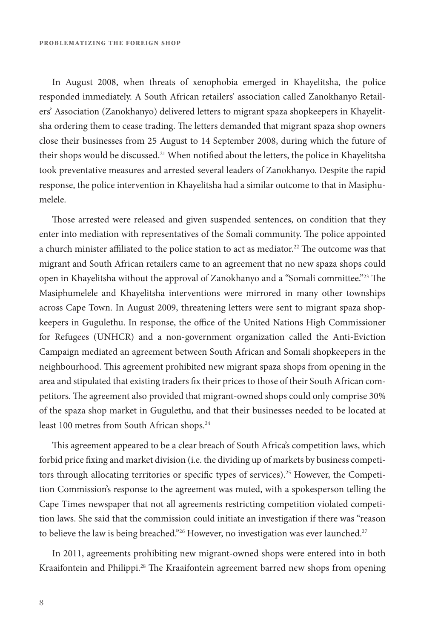In August 2008, when threats of xenophobia emerged in Khayelitsha, the police responded immediately. A South African retailers' association called Zanokhanyo Retailers' Association (Zanokhanyo) delivered letters to migrant spaza shopkeepers in Khayelitsha ordering them to cease trading. The letters demanded that migrant spaza shop owners close their businesses from 25 August to 14 September 2008, during which the future of their shops would be discussed.<sup>21</sup> When notified about the letters, the police in Khayelitsha took preventative measures and arrested several leaders of Zanokhanyo. Despite the rapid response, the police intervention in Khayelitsha had a similar outcome to that in Masiphumelele.

Tose arrested were released and given suspended sentences, on condition that they enter into mediation with representatives of the Somali community. The police appointed a church minister affiliated to the police station to act as mediator.<sup>22</sup> The outcome was that migrant and South African retailers came to an agreement that no new spaza shops could open in Khayelitsha without the approval of Zanokhanyo and a "Somali committee."<sup>23</sup> The Masiphumelele and Khayelitsha interventions were mirrored in many other townships across Cape Town. In August 2009, threatening letters were sent to migrant spaza shopkeepers in Gugulethu. In response, the office of the United Nations High Commissioner for Refugees (UNHCR) and a non-government organization called the Anti-Eviction Campaign mediated an agreement between South African and Somali shopkeepers in the neighbourhood. Tis agreement prohibited new migrant spaza shops from opening in the area and stipulated that existing traders fx their prices to those of their South African competitors. The agreement also provided that migrant-owned shops could only comprise 30% of the spaza shop market in Gugulethu, and that their businesses needed to be located at least 100 metres from South African shops.<sup>24</sup>

This agreement appeared to be a clear breach of South Africa's competition laws, which forbid price fxing and market division (i.e. the dividing up of markets by business competitors through allocating territories or specific types of services).<sup>25</sup> However, the Competition Commission's response to the agreement was muted, with a spokesperson telling the Cape Times newspaper that not all agreements restricting competition violated competition laws. She said that the commission could initiate an investigation if there was "reason to believe the law is being breached."<sup>26</sup> However, no investigation was ever launched.<sup>27</sup>

In 2011, agreements prohibiting new migrant-owned shops were entered into in both Kraaifontein and Philippi.<sup>28</sup> The Kraaifontein agreement barred new shops from opening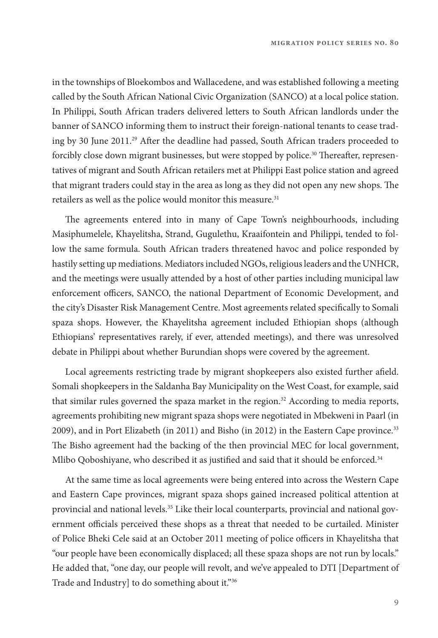in the townships of Bloekombos and Wallacedene, and was established following a meeting called by the South African National Civic Organization (SANCO) at a local police station. In Philippi, South African traders delivered letters to South African landlords under the banner of SANCO informing them to instruct their foreign-national tenants to cease trading by 30 June 2011.<sup>29</sup> After the deadline had passed, South African traders proceeded to forcibly close down migrant businesses, but were stopped by police.<sup>30</sup> Thereafter, representatives of migrant and South African retailers met at Philippi East police station and agreed that migrant traders could stay in the area as long as they did not open any new shops. The retailers as well as the police would monitor this measure.<sup>31</sup>

The agreements entered into in many of Cape Town's neighbourhoods, including Masiphumelele, Khayelitsha, Strand, Gugulethu, Kraaifontein and Philippi, tended to follow the same formula. South African traders threatened havoc and police responded by hastily setting up mediations. Mediators included NGOs, religious leaders and the UNHCR, and the meetings were usually attended by a host of other parties including municipal law enforcement officers, SANCO, the national Department of Economic Development, and the city's Disaster Risk Management Centre. Most agreements related specifcally to Somali spaza shops. However, the Khayelitsha agreement included Ethiopian shops (although Ethiopians' representatives rarely, if ever, attended meetings), and there was unresolved debate in Philippi about whether Burundian shops were covered by the agreement.

Local agreements restricting trade by migrant shopkeepers also existed further afeld. Somali shopkeepers in the Saldanha Bay Municipality on the West Coast, for example, said that similar rules governed the spaza market in the region.<sup>32</sup> According to media reports, agreements prohibiting new migrant spaza shops were negotiated in Mbekweni in Paarl (in 2009), and in Port Elizabeth (in 2011) and Bisho (in 2012) in the Eastern Cape province.33 The Bisho agreement had the backing of the then provincial MEC for local government, Mlibo Qoboshiyane, who described it as justified and said that it should be enforced.<sup>34</sup>

At the same time as local agreements were being entered into across the Western Cape and Eastern Cape provinces, migrant spaza shops gained increased political attention at provincial and national levels.<sup>35</sup> Like their local counterparts, provincial and national government officials perceived these shops as a threat that needed to be curtailed. Minister of Police Bheki Cele said at an October 2011 meeting of police officers in Khayelitsha that "our people have been economically displaced; all these spaza shops are not run by locals." He added that, "one day, our people will revolt, and we've appealed to DTI [Department of Trade and Industry] to do something about it."36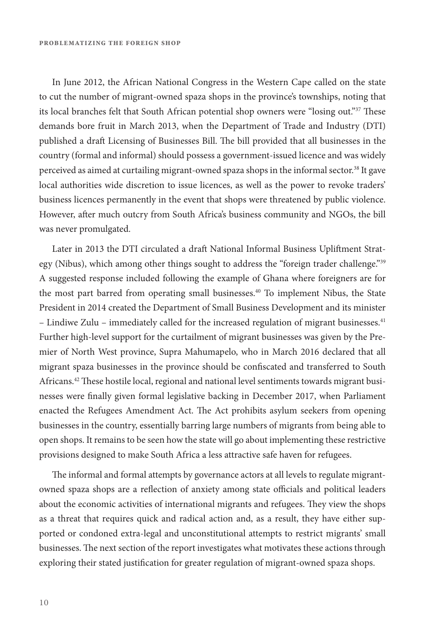In June 2012, the African National Congress in the Western Cape called on the state to cut the number of migrant-owned spaza shops in the province's townships, noting that its local branches felt that South African potential shop owners were "losing out."<sup>37</sup> These demands bore fruit in March 2013, when the Department of Trade and Industry (DTI) published a draft Licensing of Businesses Bill. The bill provided that all businesses in the country (formal and informal) should possess a government-issued licence and was widely perceived as aimed at curtailing migrant-owned spaza shops in the informal sector.<sup>38</sup> It gave local authorities wide discretion to issue licences, as well as the power to revoke traders' business licences permanently in the event that shops were threatened by public violence. However, afer much outcry from South Africa's business community and NGOs, the bill was never promulgated.

Later in 2013 the DTI circulated a draft National Informal Business Upliftment Strategy (Nibus), which among other things sought to address the "foreign trader challenge."<sup>39</sup> A suggested response included following the example of Ghana where foreigners are for the most part barred from operating small businesses.<sup>40</sup> To implement Nibus, the State President in 2014 created the Department of Small Business Development and its minister – Lindiwe Zulu – immediately called for the increased regulation of migrant businesses.<sup>41</sup> Further high-level support for the curtailment of migrant businesses was given by the Premier of North West province, Supra Mahumapelo, who in March 2016 declared that all migrant spaza businesses in the province should be confscated and transferred to South Africans.<sup>42</sup> These hostile local, regional and national level sentiments towards migrant businesses were fnally given formal legislative backing in December 2017, when Parliament enacted the Refugees Amendment Act. The Act prohibits asylum seekers from opening businesses in the country, essentially barring large numbers of migrants from being able to open shops. It remains to be seen how the state will go about implementing these restrictive provisions designed to make South Africa a less attractive safe haven for refugees.

The informal and formal attempts by governance actors at all levels to regulate migrantowned spaza shops are a reflection of anxiety among state officials and political leaders about the economic activities of international migrants and refugees. They view the shops as a threat that requires quick and radical action and, as a result, they have either supported or condoned extra-legal and unconstitutional attempts to restrict migrants' small businesses. The next section of the report investigates what motivates these actions through exploring their stated justifcation for greater regulation of migrant-owned spaza shops.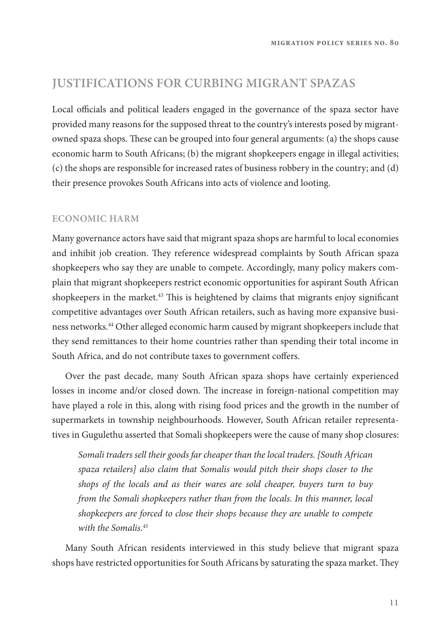## **JUSTIFICATIONS FOR CURBING MIGRANT SPAZAS**

Local officials and political leaders engaged in the governance of the spaza sector have provided many reasons for the supposed threat to the country's interests posed by migrantowned spaza shops. These can be grouped into four general arguments: (a) the shops cause economic harm to South Africans; (b) the migrant shopkeepers engage in illegal activities; (c) the shops are responsible for increased rates of business robbery in the country; and (d) their presence provokes South Africans into acts of violence and looting.

#### **ECONOMIC HARM**

Many governance actors have said that migrant spaza shops are harmful to local economies and inhibit job creation. They reference widespread complaints by South African spaza shopkeepers who say they are unable to compete. Accordingly, many policy makers complain that migrant shopkeepers restrict economic opportunities for aspirant South African shopkeepers in the market.<sup>43</sup> This is heightened by claims that migrants enjoy significant competitive advantages over South African retailers, such as having more expansive business networks.44 Other alleged economic harm caused by migrant shopkeepers include that they send remittances to their home countries rather than spending their total income in South Africa, and do not contribute taxes to government coffers.

Over the past decade, many South African spaza shops have certainly experienced losses in income and/or closed down. The increase in foreign-national competition may have played a role in this, along with rising food prices and the growth in the number of supermarkets in township neighbourhoods. However, South African retailer representatives in Gugulethu asserted that Somali shopkeepers were the cause of many shop closures:

*Somali traders sell their goods far cheaper than the local traders. [South African spaza retailers] also claim that Somalis would pitch their shops closer to the shops of the locals and as their wares are sold cheaper, buyers turn to buy from the Somali shopkeepers rather than from the locals. In this manner, local shopkeepers are forced to close their shops because they are unable to compete with the Somalis.*<sup>45</sup>

Many South African residents interviewed in this study believe that migrant spaza shops have restricted opportunities for South Africans by saturating the spaza market. They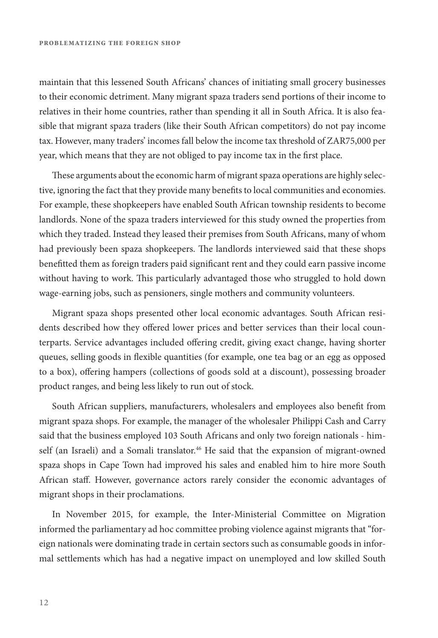maintain that this lessened South Africans' chances of initiating small grocery businesses to their economic detriment. Many migrant spaza traders send portions of their income to relatives in their home countries, rather than spending it all in South Africa. It is also feasible that migrant spaza traders (like their South African competitors) do not pay income tax. However, many traders' incomes fall below the income tax threshold of ZAR75,000 per year, which means that they are not obliged to pay income tax in the frst place.

These arguments about the economic harm of migrant spaza operations are highly selective, ignoring the fact that they provide many benefts to local communities and economies. For example, these shopkeepers have enabled South African township residents to become landlords. None of the spaza traders interviewed for this study owned the properties from which they traded. Instead they leased their premises from South Africans, many of whom had previously been spaza shopkeepers. The landlords interviewed said that these shops beneftted them as foreign traders paid signifcant rent and they could earn passive income without having to work. This particularly advantaged those who struggled to hold down wage-earning jobs, such as pensioners, single mothers and community volunteers.

Migrant spaza shops presented other local economic advantages. South African residents described how they offered lower prices and better services than their local counterparts. Service advantages included ofering credit, giving exact change, having shorter queues, selling goods in fexible quantities (for example, one tea bag or an egg as opposed to a box), ofering hampers (collections of goods sold at a discount), possessing broader product ranges, and being less likely to run out of stock.

South African suppliers, manufacturers, wholesalers and employees also beneft from migrant spaza shops. For example, the manager of the wholesaler Philippi Cash and Carry said that the business employed 103 South Africans and only two foreign nationals - himself (an Israeli) and a Somali translator.<sup>46</sup> He said that the expansion of migrant-owned spaza shops in Cape Town had improved his sales and enabled him to hire more South African staf. However, governance actors rarely consider the economic advantages of migrant shops in their proclamations.

In November 2015, for example, the Inter-Ministerial Committee on Migration informed the parliamentary ad hoc committee probing violence against migrants that "foreign nationals were dominating trade in certain sectors such as consumable goods in informal settlements which has had a negative impact on unemployed and low skilled South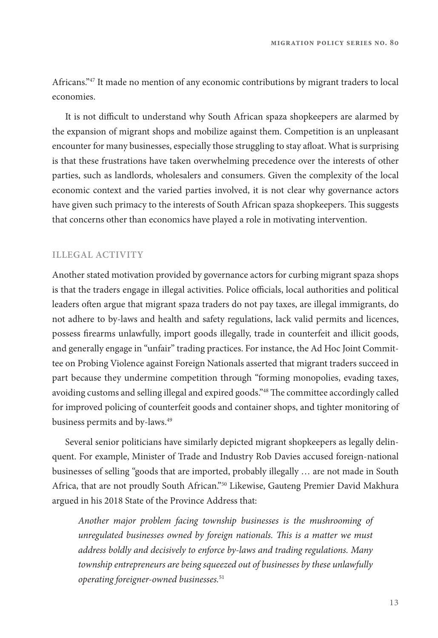Africans."47 It made no mention of any economic contributions by migrant traders to local economies.

It is not difcult to understand why South African spaza shopkeepers are alarmed by the expansion of migrant shops and mobilize against them. Competition is an unpleasant encounter for many businesses, especially those struggling to stay afoat. What is surprising is that these frustrations have taken overwhelming precedence over the interests of other parties, such as landlords, wholesalers and consumers. Given the complexity of the local economic context and the varied parties involved, it is not clear why governance actors have given such primacy to the interests of South African spaza shopkeepers. This suggests that concerns other than economics have played a role in motivating intervention.

#### **ILLEGAL ACTIVITY**

Another stated motivation provided by governance actors for curbing migrant spaza shops is that the traders engage in illegal activities. Police officials, local authorities and political leaders ofen argue that migrant spaza traders do not pay taxes, are illegal immigrants, do not adhere to by-laws and health and safety regulations, lack valid permits and licences, possess frearms unlawfully, import goods illegally, trade in counterfeit and illicit goods, and generally engage in "unfair" trading practices. For instance, the Ad Hoc Joint Committee on Probing Violence against Foreign Nationals asserted that migrant traders succeed in part because they undermine competition through "forming monopolies, evading taxes, avoiding customs and selling illegal and expired goods."<sup>48</sup> The committee accordingly called for improved policing of counterfeit goods and container shops, and tighter monitoring of business permits and by-laws.<sup>49</sup>

Several senior politicians have similarly depicted migrant shopkeepers as legally delinquent. For example, Minister of Trade and Industry Rob Davies accused foreign-national businesses of selling "goods that are imported, probably illegally … are not made in South Africa, that are not proudly South African."50 Likewise, Gauteng Premier David Makhura argued in his 2018 State of the Province Address that:

*Another major problem facing township businesses is the mushrooming of unregulated businesses owned by foreign nationals.* T*is is a matter we must address boldly and decisively to enforce by-laws and trading regulations. Many township entrepreneurs are being squeezed out of businesses by these unlawfully operating foreigner-owned businesses.*51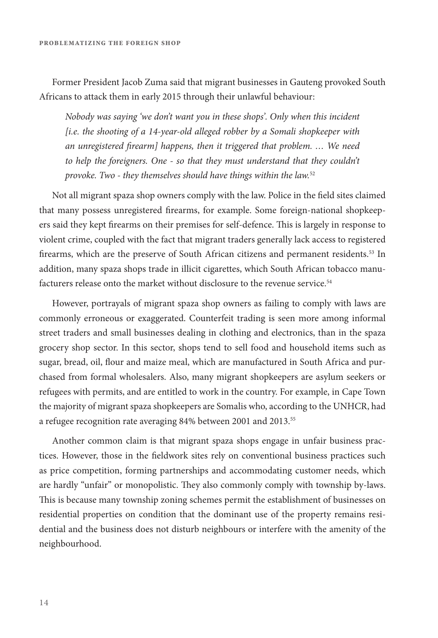Former President Jacob Zuma said that migrant businesses in Gauteng provoked South Africans to attack them in early 2015 through their unlawful behaviour:

*Nobody was saying 'we don't want you in these shops'. Only when this incident [i.e. the shooting of a 14-year-old alleged robber by a Somali shopkeeper with an unregistered* f*rearm] happens, then it triggered that problem. … We need*  to help the foreigners. One - so that they must understand that they couldn't *provoke. Two - they themselves should have things within the law.*<sup>52</sup>

Not all migrant spaza shop owners comply with the law. Police in the feld sites claimed that many possess unregistered frearms, for example. Some foreign-national shopkeepers said they kept frearms on their premises for self-defence. Tis is largely in response to violent crime, coupled with the fact that migrant traders generally lack access to registered firearms, which are the preserve of South African citizens and permanent residents.<sup>53</sup> In addition, many spaza shops trade in illicit cigarettes, which South African tobacco manufacturers release onto the market without disclosure to the revenue service.<sup>54</sup>

However, portrayals of migrant spaza shop owners as failing to comply with laws are commonly erroneous or exaggerated. Counterfeit trading is seen more among informal street traders and small businesses dealing in clothing and electronics, than in the spaza grocery shop sector. In this sector, shops tend to sell food and household items such as sugar, bread, oil, four and maize meal, which are manufactured in South Africa and purchased from formal wholesalers. Also, many migrant shopkeepers are asylum seekers or refugees with permits, and are entitled to work in the country. For example, in Cape Town the majority of migrant spaza shopkeepers are Somalis who, according to the UNHCR, had a refugee recognition rate averaging 84% between 2001 and 2013.<sup>55</sup>

Another common claim is that migrant spaza shops engage in unfair business practices. However, those in the feldwork sites rely on conventional business practices such as price competition, forming partnerships and accommodating customer needs, which are hardly "unfair" or monopolistic. They also commonly comply with township by-laws. This is because many township zoning schemes permit the establishment of businesses on residential properties on condition that the dominant use of the property remains residential and the business does not disturb neighbours or interfere with the amenity of the neighbourhood.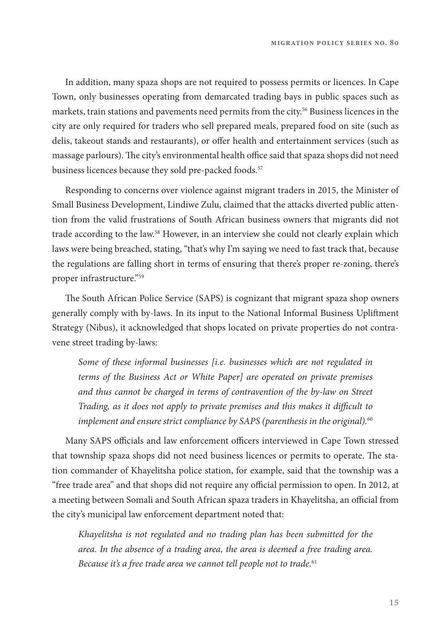In addition, many spaza shops are not required to possess permits or licences. In Cape Town, only businesses operating from demarcated trading bays in public spaces such as markets, train stations and pavements need permits from the city.56 Business licences in the city are only required for traders who sell prepared meals, prepared food on site (such as delis, takeout stands and restaurants), or offer health and entertainment services (such as massage parlours). The city's environmental health office said that spaza shops did not need business licences because they sold pre-packed foods.<sup>57</sup>

Responding to concerns over violence against migrant traders in 2015, the Minister of Small Business Development, Lindiwe Zulu, claimed that the attacks diverted public attention from the valid frustrations of South African business owners that migrants did not trade according to the law.58 However, in an interview she could not clearly explain which laws were being breached, stating, "that's why I'm saying we need to fast track that, because the regulations are falling short in terms of ensuring that there's proper re-zoning, there's proper infrastructure."59

The South African Police Service (SAPS) is cognizant that migrant spaza shop owners generally comply with by-laws. In its input to the National Informal Business Uplifment Strategy (Nibus), it acknowledged that shops located on private properties do not contravene street trading by-laws:

*Some of these informal businesses [i.e. businesses which are not regulated in terms of the Business Act or White Paper] are operated on private premises and thus cannot be charged in terms of contravention of the by-law on Street Trading, as it does not apply to private premises and this makes it di*f*cult to implement and ensure strict compliance by SAPS (parenthesis in the original).*<sup>60</sup>

Many SAPS officials and law enforcement officers interviewed in Cape Town stressed that township spaza shops did not need business licences or permits to operate. The station commander of Khayelitsha police station, for example, said that the township was a "free trade area" and that shops did not require any official permission to open. In 2012, at a meeting between Somali and South African spaza traders in Khayelitsha, an official from the city's municipal law enforcement department noted that:

*Khayelitsha is not regulated and no trading plan has been submitted for the area. In the absence of a trading area, the area is deemed a free trading area. Because it's a free trade area we cannot tell people not to trade.*61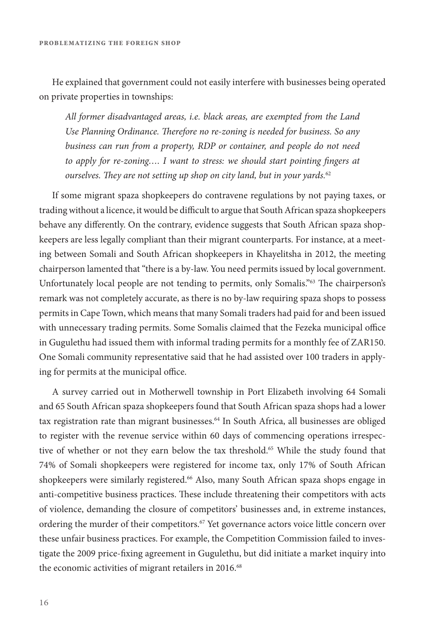He explained that government could not easily interfere with businesses being operated on private properties in townships:

*All former disadvantaged areas, i.e. black areas, are exempted from the Land*  Use Planning Ordinance. Therefore no re-zoning is needed for business. So any *business can run from a property, RDP or container, and people do not need to apply for re-zoning.... I want to stress: we should start pointing fingers at ourselves.* T*ey are not setting up shop on city land, but in your yards.*<sup>62</sup>

If some migrant spaza shopkeepers do contravene regulations by not paying taxes, or trading without a licence, it would be difficult to argue that South African spaza shopkeepers behave any diferently. On the contrary, evidence suggests that South African spaza shopkeepers are less legally compliant than their migrant counterparts. For instance, at a meeting between Somali and South African shopkeepers in Khayelitsha in 2012, the meeting chairperson lamented that "there is a by-law. You need permits issued by local government. Unfortunately local people are not tending to permits, only Somalis."<sup>63</sup> The chairperson's remark was not completely accurate, as there is no by-law requiring spaza shops to possess permits in Cape Town, which means that many Somali traders had paid for and been issued with unnecessary trading permits. Some Somalis claimed that the Fezeka municipal office in Gugulethu had issued them with informal trading permits for a monthly fee of ZAR150. One Somali community representative said that he had assisted over 100 traders in applying for permits at the municipal office.

A survey carried out in Motherwell township in Port Elizabeth involving 64 Somali and 65 South African spaza shopkeepers found that South African spaza shops had a lower tax registration rate than migrant businesses.<sup>64</sup> In South Africa, all businesses are obliged to register with the revenue service within 60 days of commencing operations irrespective of whether or not they earn below the tax threshold.<sup>65</sup> While the study found that 74% of Somali shopkeepers were registered for income tax, only 17% of South African shopkeepers were similarly registered.<sup>66</sup> Also, many South African spaza shops engage in anti-competitive business practices. These include threatening their competitors with acts of violence, demanding the closure of competitors' businesses and, in extreme instances, ordering the murder of their competitors.<sup>67</sup> Yet governance actors voice little concern over these unfair business practices. For example, the Competition Commission failed to investigate the 2009 price-fxing agreement in Gugulethu, but did initiate a market inquiry into the economic activities of migrant retailers in 2016.<sup>68</sup>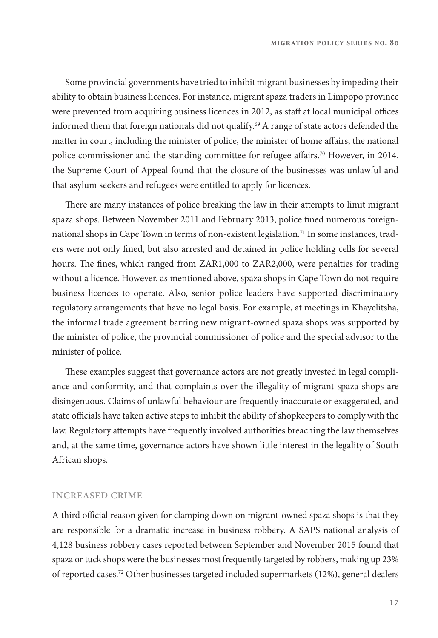**migration policy series no. 80**

Some provincial governments have tried to inhibit migrant businesses by impeding their ability to obtain business licences. For instance, migrant spaza traders in Limpopo province were prevented from acquiring business licences in 2012, as staff at local municipal offices informed them that foreign nationals did not qualify.<sup>69</sup> A range of state actors defended the matter in court, including the minister of police, the minister of home afairs, the national police commissioner and the standing committee for refugee affairs.<sup>70</sup> However, in 2014, the Supreme Court of Appeal found that the closure of the businesses was unlawful and that asylum seekers and refugees were entitled to apply for licences.

There are many instances of police breaking the law in their attempts to limit migrant spaza shops. Between November 2011 and February 2013, police fned numerous foreignnational shops in Cape Town in terms of non-existent legislation.71 In some instances, traders were not only fned, but also arrested and detained in police holding cells for several hours. The fines, which ranged from ZAR1,000 to ZAR2,000, were penalties for trading without a licence. However, as mentioned above, spaza shops in Cape Town do not require business licences to operate. Also, senior police leaders have supported discriminatory regulatory arrangements that have no legal basis. For example, at meetings in Khayelitsha, the informal trade agreement barring new migrant-owned spaza shops was supported by the minister of police, the provincial commissioner of police and the special advisor to the minister of police.

These examples suggest that governance actors are not greatly invested in legal compliance and conformity, and that complaints over the illegality of migrant spaza shops are disingenuous. Claims of unlawful behaviour are frequently inaccurate or exaggerated, and state officials have taken active steps to inhibit the ability of shopkeepers to comply with the law. Regulatory attempts have frequently involved authorities breaching the law themselves and, at the same time, governance actors have shown little interest in the legality of South African shops.

#### **INCREASED CRIME**

A third official reason given for clamping down on migrant-owned spaza shops is that they are responsible for a dramatic increase in business robbery. A SAPS national analysis of 4,128 business robbery cases reported between September and November 2015 found that spaza or tuck shops were the businesses most frequently targeted by robbers, making up 23% of reported cases.72 Other businesses targeted included supermarkets (12%), general dealers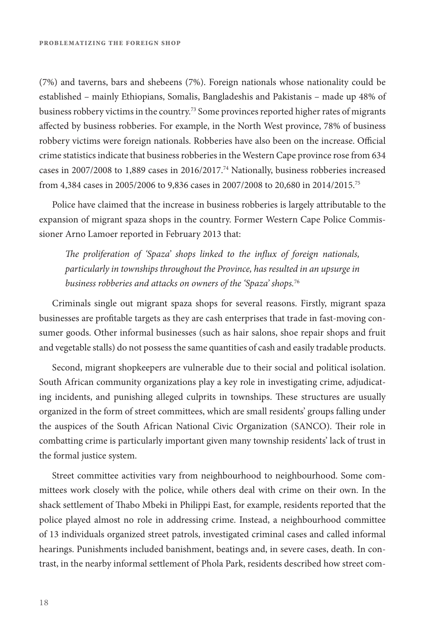(7%) and taverns, bars and shebeens (7%). Foreign nationals whose nationality could be established – mainly Ethiopians, Somalis, Bangladeshis and Pakistanis – made up 48% of business robbery victims in the country.<sup>73</sup> Some provinces reported higher rates of migrants afected by business robberies. For example, in the North West province, 78% of business robbery victims were foreign nationals. Robberies have also been on the increase. Official crime statistics indicate that business robberies in the Western Cape province rose from 634 cases in 2007/2008 to 1,889 cases in 2016/2017.74 Nationally, business robberies increased from 4,384 cases in 2005/2006 to 9,836 cases in 2007/2008 to 20,680 in 2014/2015.75

Police have claimed that the increase in business robberies is largely attributable to the expansion of migrant spaza shops in the country. Former Western Cape Police Commissioner Arno Lamoer reported in February 2013 that:

T*e proliferation of 'Spaza' shops linked to the in*f*ux of foreign nationals, particularly in townships throughout the Province, has resulted in an upsurge in business robberies and attacks on owners of the 'Spaza' shops.*<sup>76</sup>

Criminals single out migrant spaza shops for several reasons. Firstly, migrant spaza businesses are proftable targets as they are cash enterprises that trade in fast-moving consumer goods. Other informal businesses (such as hair salons, shoe repair shops and fruit and vegetable stalls) do not possess the same quantities of cash and easily tradable products.

Second, migrant shopkeepers are vulnerable due to their social and political isolation. South African community organizations play a key role in investigating crime, adjudicating incidents, and punishing alleged culprits in townships. These structures are usually organized in the form of street committees, which are small residents' groups falling under the auspices of the South African National Civic Organization (SANCO). Teir role in combatting crime is particularly important given many township residents' lack of trust in the formal justice system.

Street committee activities vary from neighbourhood to neighbourhood. Some committees work closely with the police, while others deal with crime on their own. In the shack settlement of Tabo Mbeki in Philippi East, for example, residents reported that the police played almost no role in addressing crime. Instead, a neighbourhood committee of 13 individuals organized street patrols, investigated criminal cases and called informal hearings. Punishments included banishment, beatings and, in severe cases, death. In contrast, in the nearby informal settlement of Phola Park, residents described how street com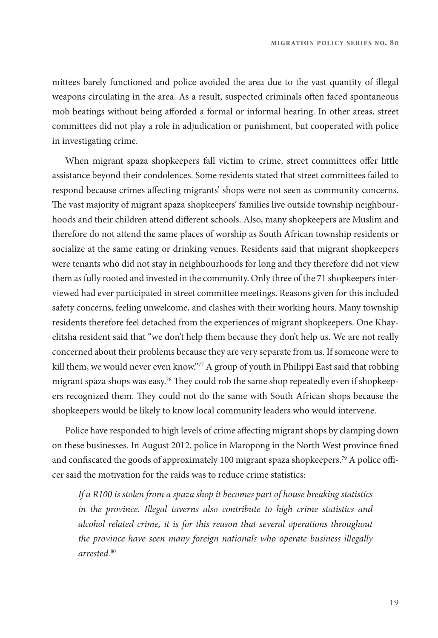mittees barely functioned and police avoided the area due to the vast quantity of illegal weapons circulating in the area. As a result, suspected criminals ofen faced spontaneous mob beatings without being aforded a formal or informal hearing. In other areas, street committees did not play a role in adjudication or punishment, but cooperated with police in investigating crime.

When migrant spaza shopkeepers fall victim to crime, street committees offer little assistance beyond their condolences. Some residents stated that street committees failed to respond because crimes afecting migrants' shops were not seen as community concerns. The vast majority of migrant spaza shopkeepers' families live outside township neighbourhoods and their children attend diferent schools. Also, many shopkeepers are Muslim and therefore do not attend the same places of worship as South African township residents or socialize at the same eating or drinking venues. Residents said that migrant shopkeepers were tenants who did not stay in neighbourhoods for long and they therefore did not view them as fully rooted and invested in the community. Only three of the 71 shopkeepers interviewed had ever participated in street committee meetings. Reasons given for this included safety concerns, feeling unwelcome, and clashes with their working hours. Many township residents therefore feel detached from the experiences of migrant shopkeepers. One Khayelitsha resident said that "we don't help them because they don't help us. We are not really concerned about their problems because they are very separate from us. If someone were to kill them, we would never even know."77 A group of youth in Philippi East said that robbing migrant spaza shops was easy.<sup>78</sup> They could rob the same shop repeatedly even if shopkeepers recognized them. They could not do the same with South African shops because the shopkeepers would be likely to know local community leaders who would intervene.

Police have responded to high levels of crime afecting migrant shops by clamping down on these businesses. In August 2012, police in Maropong in the North West province fned and confiscated the goods of approximately 100 migrant spaza shopkeepers.<sup>79</sup> A police officer said the motivation for the raids was to reduce crime statistics:

*If a R100 is stolen from a spaza shop it becomes part of house breaking statistics in the province. Illegal taverns also contribute to high crime statistics and alcohol related crime, it is for this reason that several operations throughout the province have seen many foreign nationals who operate business illegally arrested.*80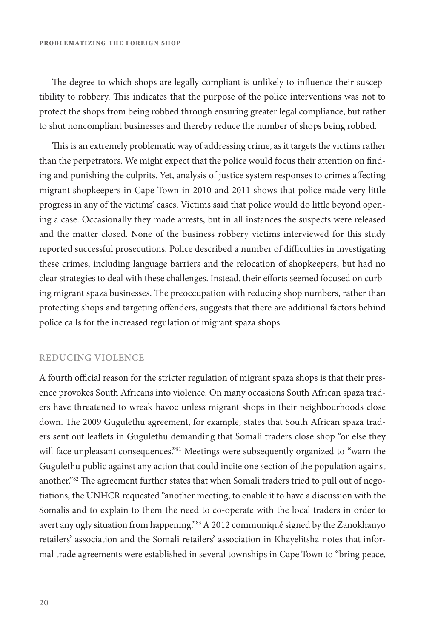The degree to which shops are legally compliant is unlikely to influence their susceptibility to robbery. Tis indicates that the purpose of the police interventions was not to protect the shops from being robbed through ensuring greater legal compliance, but rather to shut noncompliant businesses and thereby reduce the number of shops being robbed.

This is an extremely problematic way of addressing crime, as it targets the victims rather than the perpetrators. We might expect that the police would focus their attention on fnding and punishing the culprits. Yet, analysis of justice system responses to crimes afecting migrant shopkeepers in Cape Town in 2010 and 2011 shows that police made very little progress in any of the victims' cases. Victims said that police would do little beyond opening a case. Occasionally they made arrests, but in all instances the suspects were released and the matter closed. None of the business robbery victims interviewed for this study reported successful prosecutions. Police described a number of difculties in investigating these crimes, including language barriers and the relocation of shopkeepers, but had no clear strategies to deal with these challenges. Instead, their eforts seemed focused on curbing migrant spaza businesses. The preoccupation with reducing shop numbers, rather than protecting shops and targeting ofenders, suggests that there are additional factors behind police calls for the increased regulation of migrant spaza shops.

#### **REDUCING VIOLENCE**

A fourth official reason for the stricter regulation of migrant spaza shops is that their presence provokes South Africans into violence. On many occasions South African spaza traders have threatened to wreak havoc unless migrant shops in their neighbourhoods close down. The 2009 Gugulethu agreement, for example, states that South African spaza traders sent out leafets in Gugulethu demanding that Somali traders close shop "or else they will face unpleasant consequences."<sup>81</sup> Meetings were subsequently organized to "warn the Gugulethu public against any action that could incite one section of the population against another."<sup>82</sup> The agreement further states that when Somali traders tried to pull out of negotiations, the UNHCR requested "another meeting, to enable it to have a discussion with the Somalis and to explain to them the need to co-operate with the local traders in order to avert any ugly situation from happening."<sup>83</sup> A 2012 communiqué signed by the Zanokhanyo retailers' association and the Somali retailers' association in Khayelitsha notes that informal trade agreements were established in several townships in Cape Town to "bring peace,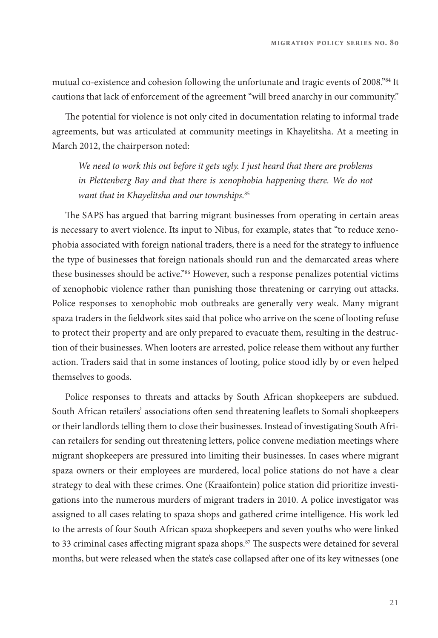mutual co-existence and cohesion following the unfortunate and tragic events of 2008."84 It cautions that lack of enforcement of the agreement "will breed anarchy in our community."

The potential for violence is not only cited in documentation relating to informal trade agreements, but was articulated at community meetings in Khayelitsha. At a meeting in March 2012, the chairperson noted:

*We need to work this out before it gets ugly. I just heard that there are problems*  in Plettenberg Bay and that there is xenophobia happening there. We do not *want that in Khayelitsha and our townships.*<sup>85</sup>

The SAPS has argued that barring migrant businesses from operating in certain areas is necessary to avert violence. Its input to Nibus, for example, states that "to reduce xenophobia associated with foreign national traders, there is a need for the strategy to infuence the type of businesses that foreign nationals should run and the demarcated areas where these businesses should be active."<sup>86</sup> However, such a response penalizes potential victims of xenophobic violence rather than punishing those threatening or carrying out attacks. Police responses to xenophobic mob outbreaks are generally very weak. Many migrant spaza traders in the feldwork sites said that police who arrive on the scene of looting refuse to protect their property and are only prepared to evacuate them, resulting in the destruction of their businesses. When looters are arrested, police release them without any further action. Traders said that in some instances of looting, police stood idly by or even helped themselves to goods.

Police responses to threats and attacks by South African shopkeepers are subdued. South African retailers' associations ofen send threatening leafets to Somali shopkeepers or their landlords telling them to close their businesses. Instead of investigating South African retailers for sending out threatening letters, police convene mediation meetings where migrant shopkeepers are pressured into limiting their businesses. In cases where migrant spaza owners or their employees are murdered, local police stations do not have a clear strategy to deal with these crimes. One (Kraaifontein) police station did prioritize investigations into the numerous murders of migrant traders in 2010. A police investigator was assigned to all cases relating to spaza shops and gathered crime intelligence. His work led to the arrests of four South African spaza shopkeepers and seven youths who were linked to 33 criminal cases affecting migrant spaza shops.<sup>87</sup> The suspects were detained for several months, but were released when the state's case collapsed afer one of its key witnesses (one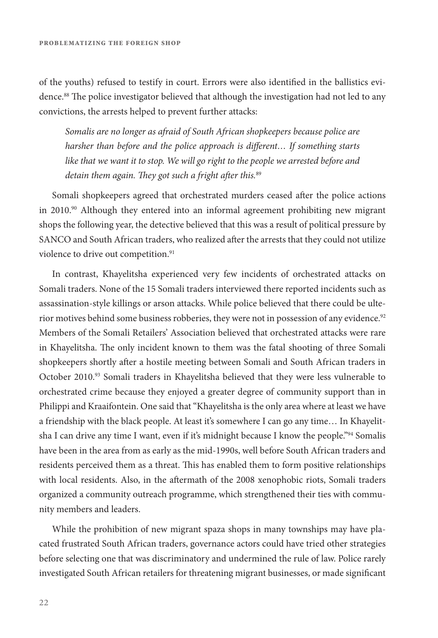of the youths) refused to testify in court. Errors were also identifed in the ballistics evidence.<sup>88</sup> The police investigator believed that although the investigation had not led to any convictions, the arrests helped to prevent further attacks:

*Somalis are no longer as afraid of South African shopkeepers because police are harsher than before and the police approach is di*f*erent… If something starts like that we want it to stop. We will go right to the people we arrested before and detain them again. They got such a fright after this.*<sup>89</sup>

Somali shopkeepers agreed that orchestrated murders ceased afer the police actions in  $2010$ .<sup>90</sup> Although they entered into an informal agreement prohibiting new migrant shops the following year, the detective believed that this was a result of political pressure by SANCO and South African traders, who realized afer the arrests that they could not utilize violence to drive out competition.<sup>91</sup>

In contrast, Khayelitsha experienced very few incidents of orchestrated attacks on Somali traders. None of the 15 Somali traders interviewed there reported incidents such as assassination-style killings or arson attacks. While police believed that there could be ulterior motives behind some business robberies, they were not in possession of any evidence.<sup>92</sup> Members of the Somali Retailers' Association believed that orchestrated attacks were rare in Khayelitsha. The only incident known to them was the fatal shooting of three Somali shopkeepers shortly afer a hostile meeting between Somali and South African traders in October 2010.93 Somali traders in Khayelitsha believed that they were less vulnerable to orchestrated crime because they enjoyed a greater degree of community support than in Philippi and Kraaifontein. One said that "Khayelitsha is the only area where at least we have a friendship with the black people. At least it's somewhere I can go any time… In Khayelitsha I can drive any time I want, even if it's midnight because I know the people."<sup>94</sup> Somalis have been in the area from as early as the mid-1990s, well before South African traders and residents perceived them as a threat. Tis has enabled them to form positive relationships with local residents. Also, in the afermath of the 2008 xenophobic riots, Somali traders organized a community outreach programme, which strengthened their ties with community members and leaders.

While the prohibition of new migrant spaza shops in many townships may have placated frustrated South African traders, governance actors could have tried other strategies before selecting one that was discriminatory and undermined the rule of law. Police rarely investigated South African retailers for threatening migrant businesses, or made signifcant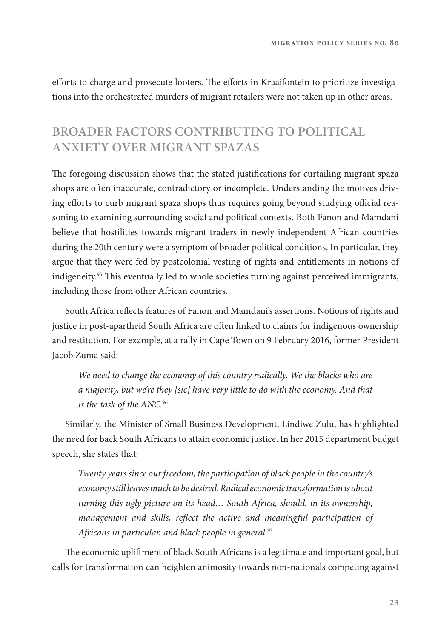efforts to charge and prosecute looters. The efforts in Kraaifontein to prioritize investigations into the orchestrated murders of migrant retailers were not taken up in other areas.

## **BROADER FACTORS CONTRIBUTING TO POLITICAL ANXIETY OVER MIGRANT SPAZAS**

The foregoing discussion shows that the stated justifications for curtailing migrant spaza shops are ofen inaccurate, contradictory or incomplete. Understanding the motives driving efforts to curb migrant spaza shops thus requires going beyond studying official reasoning to examining surrounding social and political contexts. Both Fanon and Mamdani believe that hostilities towards migrant traders in newly independent African countries during the 20th century were a symptom of broader political conditions. In particular, they argue that they were fed by postcolonial vesting of rights and entitlements in notions of indigeneity.<sup>95</sup> This eventually led to whole societies turning against perceived immigrants, including those from other African countries.

South Africa refects features of Fanon and Mamdani's assertions. Notions of rights and justice in post-apartheid South Africa are ofen linked to claims for indigenous ownership and restitution. For example, at a rally in Cape Town on 9 February 2016, former President Jacob Zuma said:

*We need to change the economy of this country radically. We the blacks who are a majority, but we're they [sic] have very little to do with the economy. And that is the task of the ANC.*<sup>96</sup>

Similarly, the Minister of Small Business Development, Lindiwe Zulu, has highlighted the need for back South Africans to attain economic justice. In her 2015 department budget speech, she states that:

*Twenty years since our freedom, the participation of black people in the country's economy still leaves much to be desired. Radical economic transformation is about turning this ugly picture on its head… South Africa, should, in its ownership, management and skills, re*f*ect the active and meaningful participation of Africans in particular, and black people in general.*<sup>97</sup>

The economic upliftment of black South Africans is a legitimate and important goal, but calls for transformation can heighten animosity towards non-nationals competing against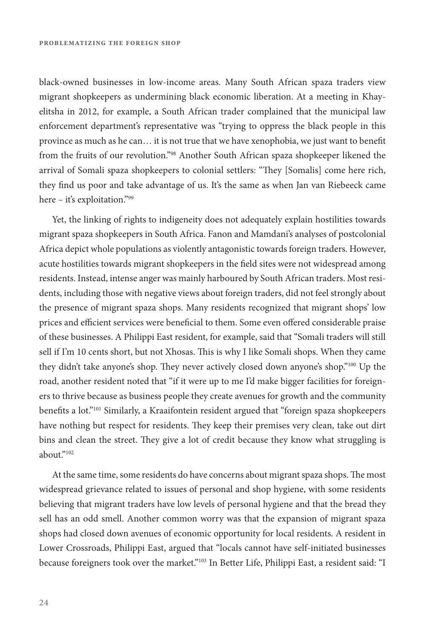black-owned businesses in low-income areas. Many South African spaza traders view migrant shopkeepers as undermining black economic liberation. At a meeting in Khayelitsha in 2012, for example, a South African trader complained that the municipal law enforcement department's representative was "trying to oppress the black people in this province as much as he can… it is not true that we have xenophobia, we just want to beneft from the fruits of our revolution."98 Another South African spaza shopkeeper likened the arrival of Somali spaza shopkeepers to colonial settlers: "They [Somalis] come here rich, they fnd us poor and take advantage of us. It's the same as when Jan van Riebeeck came here – it's exploitation."99

Yet, the linking of rights to indigeneity does not adequately explain hostilities towards migrant spaza shopkeepers in South Africa. Fanon and Mamdani's analyses of postcolonial Africa depict whole populations as violently antagonistic towards foreign traders. However, acute hostilities towards migrant shopkeepers in the feld sites were not widespread among residents. Instead, intense anger was mainly harboured by South African traders. Most residents, including those with negative views about foreign traders, did not feel strongly about the presence of migrant spaza shops. Many residents recognized that migrant shops' low prices and efficient services were beneficial to them. Some even offered considerable praise of these businesses. A Philippi East resident, for example, said that "Somali traders will still sell if I'm 10 cents short, but not Xhosas. This is why I like Somali shops. When they came they didn't take anyone's shop. They never actively closed down anyone's shop."<sup>100</sup> Up the road, another resident noted that "if it were up to me I'd make bigger facilities for foreigners to thrive because as business people they create avenues for growth and the community benefits a lot."<sup>101</sup> Similarly, a Kraaifontein resident argued that "foreign spaza shopkeepers have nothing but respect for residents. They keep their premises very clean, take out dirt bins and clean the street. They give a lot of credit because they know what struggling is about $^{3102}$ 

At the same time, some residents do have concerns about migrant spaza shops. The most widespread grievance related to issues of personal and shop hygiene, with some residents believing that migrant traders have low levels of personal hygiene and that the bread they sell has an odd smell. Another common worry was that the expansion of migrant spaza shops had closed down avenues of economic opportunity for local residents. A resident in Lower Crossroads, Philippi East, argued that "locals cannot have self-initiated businesses because foreigners took over the market."<sup>103</sup> In Better Life, Philippi East, a resident said: "I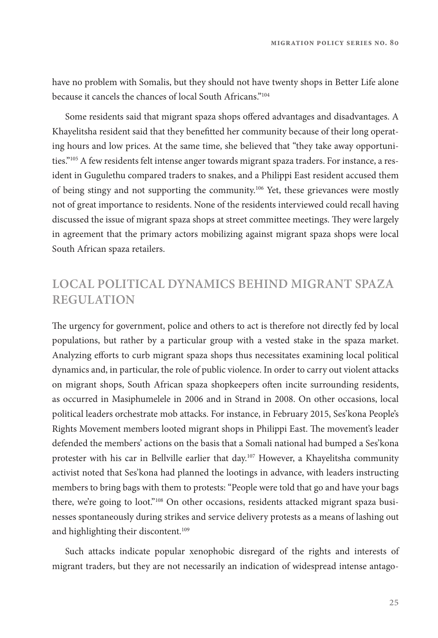have no problem with Somalis, but they should not have twenty shops in Better Life alone because it cancels the chances of local South Africans."104

Some residents said that migrant spaza shops ofered advantages and disadvantages. A Khayelitsha resident said that they beneftted her community because of their long operating hours and low prices. At the same time, she believed that "they take away opportunities."105 A few residents felt intense anger towards migrant spaza traders. For instance, a resident in Gugulethu compared traders to snakes, and a Philippi East resident accused them of being stingy and not supporting the community.106 Yet, these grievances were mostly not of great importance to residents. None of the residents interviewed could recall having discussed the issue of migrant spaza shops at street committee meetings. They were largely in agreement that the primary actors mobilizing against migrant spaza shops were local South African spaza retailers.

## **LOCAL POLITICAL DYNAMICS BEHIND MIGRANT SPAZA REGULATION**

The urgency for government, police and others to act is therefore not directly fed by local populations, but rather by a particular group with a vested stake in the spaza market. Analyzing eforts to curb migrant spaza shops thus necessitates examining local political dynamics and, in particular, the role of public violence. In order to carry out violent attacks on migrant shops, South African spaza shopkeepers ofen incite surrounding residents, as occurred in Masiphumelele in 2006 and in Strand in 2008. On other occasions, local political leaders orchestrate mob attacks. For instance, in February 2015, Ses'kona People's Rights Movement members looted migrant shops in Philippi East. The movement's leader defended the members' actions on the basis that a Somali national had bumped a Ses'kona protester with his car in Bellville earlier that day.107 However, a Khayelitsha community activist noted that Ses'kona had planned the lootings in advance, with leaders instructing members to bring bags with them to protests: "People were told that go and have your bags there, we're going to loot."108 On other occasions, residents attacked migrant spaza businesses spontaneously during strikes and service delivery protests as a means of lashing out and highlighting their discontent.<sup>109</sup>

Such attacks indicate popular xenophobic disregard of the rights and interests of migrant traders, but they are not necessarily an indication of widespread intense antago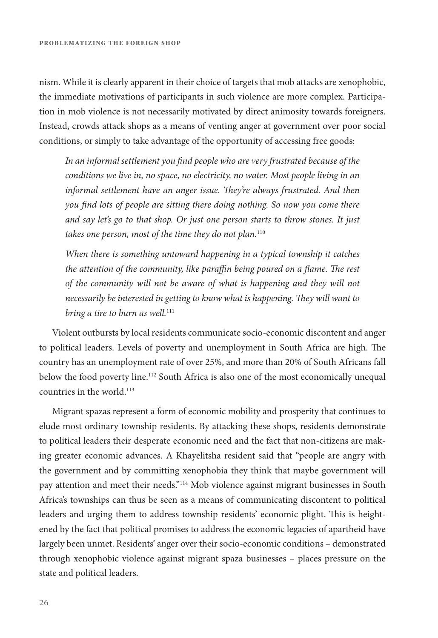nism. While it is clearly apparent in their choice of targets that mob attacks are xenophobic, the immediate motivations of participants in such violence are more complex. Participation in mob violence is not necessarily motivated by direct animosity towards foreigners. Instead, crowds attack shops as a means of venting anger at government over poor social conditions, or simply to take advantage of the opportunity of accessing free goods:

*In an informal settlement you* f*nd people who are very frustrated because of the conditions we live in, no space, no electricity, no water. Most people living in an informal settlement have an anger issue.* T*ey're always frustrated. And then you* f*nd lots of people are sitting there doing nothing. So now you come there and say let's go to that shop. Or just one person starts to throw stones. It just takes one person, most of the time they do not plan.*<sup>110</sup>

*When there is something untoward happening in a typical township it catches the attention of the community, like para*f*n being poured on a* f*ame.* T*e rest of the community will not be aware of what is happening and they will not necessarily be interested in getting to know what is happening. They will want to bring a tire to burn as well.*<sup>111</sup>

Violent outbursts by local residents communicate socio-economic discontent and anger to political leaders. Levels of poverty and unemployment in South Africa are high. The country has an unemployment rate of over 25%, and more than 20% of South Africans fall below the food poverty line.<sup>112</sup> South Africa is also one of the most economically unequal countries in the world.113

Migrant spazas represent a form of economic mobility and prosperity that continues to elude most ordinary township residents. By attacking these shops, residents demonstrate to political leaders their desperate economic need and the fact that non-citizens are making greater economic advances. A Khayelitsha resident said that "people are angry with the government and by committing xenophobia they think that maybe government will pay attention and meet their needs."114 Mob violence against migrant businesses in South Africa's townships can thus be seen as a means of communicating discontent to political leaders and urging them to address township residents' economic plight. Tis is heightened by the fact that political promises to address the economic legacies of apartheid have largely been unmet. Residents' anger over their socio-economic conditions – demonstrated through xenophobic violence against migrant spaza businesses – places pressure on the state and political leaders.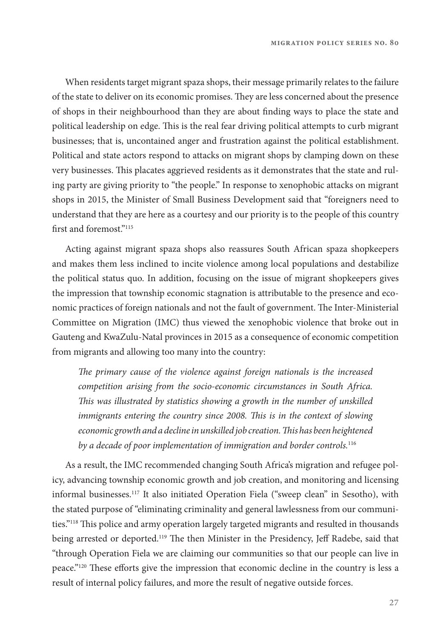When residents target migrant spaza shops, their message primarily relates to the failure of the state to deliver on its economic promises. They are less concerned about the presence of shops in their neighbourhood than they are about fnding ways to place the state and political leadership on edge. This is the real fear driving political attempts to curb migrant businesses; that is, uncontained anger and frustration against the political establishment. Political and state actors respond to attacks on migrant shops by clamping down on these very businesses. Tis placates aggrieved residents as it demonstrates that the state and ruling party are giving priority to "the people." In response to xenophobic attacks on migrant shops in 2015, the Minister of Small Business Development said that "foreigners need to understand that they are here as a courtesy and our priority is to the people of this country first and foremost."<sup>115</sup>

Acting against migrant spaza shops also reassures South African spaza shopkeepers and makes them less inclined to incite violence among local populations and destabilize the political status quo. In addition, focusing on the issue of migrant shopkeepers gives the impression that township economic stagnation is attributable to the presence and economic practices of foreign nationals and not the fault of government. The Inter-Ministerial Committee on Migration (IMC) thus viewed the xenophobic violence that broke out in Gauteng and KwaZulu-Natal provinces in 2015 as a consequence of economic competition from migrants and allowing too many into the country:

T*e primary cause of the violence against foreign nationals is the increased competition arising from the socio-economic circumstances in South Africa.*  T*is was illustrated by statistics showing a growth in the number of unskilled immigrants entering the country since 2008.* T*is is in the context of slowing economic growth and a decline in unskilled job creation.* T*is has been heightened by a decade of poor implementation of immigration and border controls.*<sup>116</sup>

As a result, the IMC recommended changing South Africa's migration and refugee policy, advancing township economic growth and job creation, and monitoring and licensing informal businesses.117 It also initiated Operation Fiela ("sweep clean" in Sesotho), with the stated purpose of "eliminating criminality and general lawlessness from our communities."118 Tis police and army operation largely targeted migrants and resulted in thousands being arrested or deported.<sup>119</sup> The then Minister in the Presidency, Jeff Radebe, said that "through Operation Fiela we are claiming our communities so that our people can live in peace."<sup>120</sup> These efforts give the impression that economic decline in the country is less a result of internal policy failures, and more the result of negative outside forces.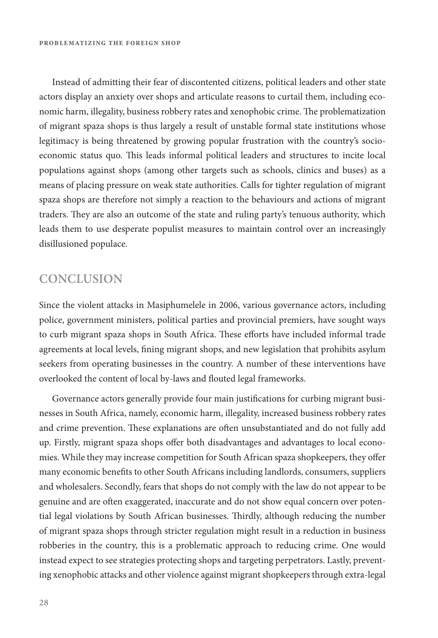Instead of admitting their fear of discontented citizens, political leaders and other state actors display an anxiety over shops and articulate reasons to curtail them, including economic harm, illegality, business robbery rates and xenophobic crime. The problematization of migrant spaza shops is thus largely a result of unstable formal state institutions whose legitimacy is being threatened by growing popular frustration with the country's socioeconomic status quo. This leads informal political leaders and structures to incite local populations against shops (among other targets such as schools, clinics and buses) as a means of placing pressure on weak state authorities. Calls for tighter regulation of migrant spaza shops are therefore not simply a reaction to the behaviours and actions of migrant traders. They are also an outcome of the state and ruling party's tenuous authority, which leads them to use desperate populist measures to maintain control over an increasingly disillusioned populace.

## **CONCLUSION**

Since the violent attacks in Masiphumelele in 2006, various governance actors, including police, government ministers, political parties and provincial premiers, have sought ways to curb migrant spaza shops in South Africa. These efforts have included informal trade agreements at local levels, fning migrant shops, and new legislation that prohibits asylum seekers from operating businesses in the country. A number of these interventions have overlooked the content of local by-laws and fouted legal frameworks.

Governance actors generally provide four main justifcations for curbing migrant businesses in South Africa, namely, economic harm, illegality, increased business robbery rates and crime prevention. These explanations are often unsubstantiated and do not fully add up. Firstly, migrant spaza shops ofer both disadvantages and advantages to local economies. While they may increase competition for South African spaza shopkeepers, they ofer many economic benefts to other South Africans including landlords, consumers, suppliers and wholesalers. Secondly, fears that shops do not comply with the law do not appear to be genuine and are ofen exaggerated, inaccurate and do not show equal concern over potential legal violations by South African businesses. Thirdly, although reducing the number of migrant spaza shops through stricter regulation might result in a reduction in business robberies in the country, this is a problematic approach to reducing crime. One would instead expect to see strategies protecting shops and targeting perpetrators. Lastly, preventing xenophobic attacks and other violence against migrant shopkeepers through extra-legal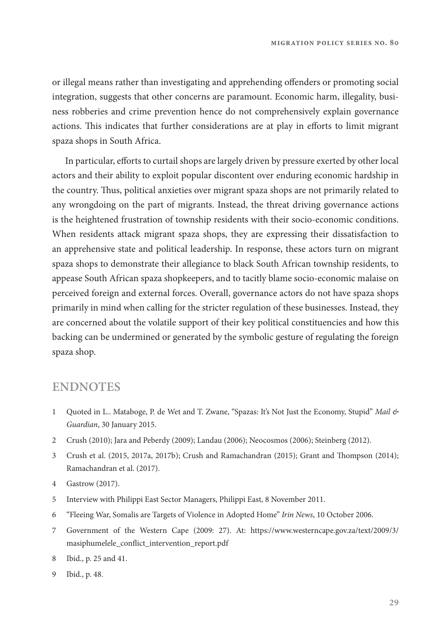or illegal means rather than investigating and apprehending ofenders or promoting social integration, suggests that other concerns are paramount. Economic harm, illegality, business robberies and crime prevention hence do not comprehensively explain governance actions. This indicates that further considerations are at play in efforts to limit migrant spaza shops in South Africa.

In particular, efforts to curtail shops are largely driven by pressure exerted by other local actors and their ability to exploit popular discontent over enduring economic hardship in the country. Tus, political anxieties over migrant spaza shops are not primarily related to any wrongdoing on the part of migrants. Instead, the threat driving governance actions is the heightened frustration of township residents with their socio-economic conditions. When residents attack migrant spaza shops, they are expressing their dissatisfaction to an apprehensive state and political leadership. In response, these actors turn on migrant spaza shops to demonstrate their allegiance to black South African township residents, to appease South African spaza shopkeepers, and to tacitly blame socio-economic malaise on perceived foreign and external forces. Overall, governance actors do not have spaza shops primarily in mind when calling for the stricter regulation of these businesses. Instead, they are concerned about the volatile support of their key political constituencies and how this backing can be undermined or generated by the symbolic gesture of regulating the foreign spaza shop.

#### **ENDNOTES**

- 1 Quoted in L.. Mataboge, P. de Wet and T. Zwane, "Spazas: It's Not Just the Economy, Stupid" *Mail & Guardian*, 30 January 2015.
- 2 Crush (2010); Jara and Peberdy (2009); Landau (2006); Neocosmos (2006); Steinberg (2012).
- 3 Crush et al. (2015, 2017a, 2017b); Crush and Ramachandran (2015); Grant and Tompson (2014); Ramachandran et al. (2017).
- 4 Gastrow (2017).
- 5 Interview with Philippi East Sector Managers, Philippi East, 8 November 2011.
- 6 "Fleeing War, Somalis are Targets of Violence in Adopted Home" *Irin News*, 10 October 2006.
- 7 Government of the Western Cape (2009: 27). At: [https://www.westerncape.gov.za/text/2009/3/](https://www.westerncape.gov.za/text/2009/3/masiphumelele_conflict_intervention_report.pdf) masiphumelele\_conf[ict\\_intervention\\_report.pdf](https://www.westerncape.gov.za/text/2009/3/masiphumelele_conflict_intervention_report.pdf)
- 8 Ibid., p. 25 and 41.
- 9 Ibid., p. 48.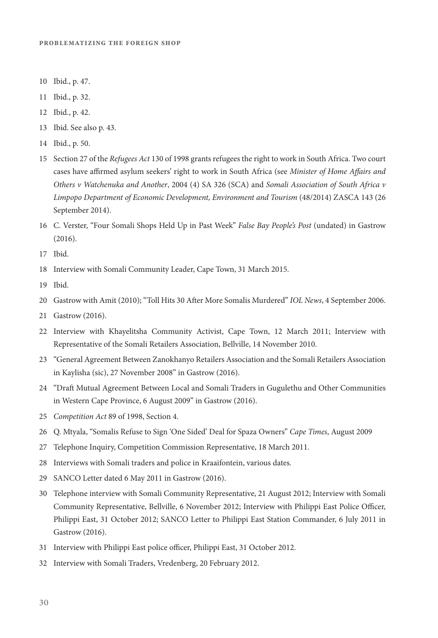- 10 Ibid., p. 47.
- 11 Ibid., p. 32.
- 12 Ibid., p. 42.
- 13 Ibid. See also p. 43.
- 14 Ibid., p. 50.
- 15 Section 27 of the *Refugees Act* 130 of 1998 grants refugees the right to work in South Africa. Two court cases have afrmed asylum seekers' right to work in South Africa (see *Minister of Home A*f*airs and Others v Watchenuka and Another*, 2004 (4) SA 326 (SCA) and *Somali Association of South Africa v Limpopo Department of Economic Development, Environment and Tourism* (48/2014) ZASCA 143 (26 September 2014).
- 16 C. Verster, "Four Somali Shops Held Up in Past Week" *False Bay People's Post* (undated) in Gastrow (2016).
- 17 Ibid.
- 18 Interview with Somali Community Leader, Cape Town, 31 March 2015.
- 19 Ibid.
- 20 Gastrow with Amit (2010); "Toll Hits 30 Afer More Somalis Murdered" *IOL News*, 4 September 2006.
- 21 Gastrow (2016).
- 22 Interview with Khayelitsha Community Activist, Cape Town, 12 March 2011; Interview with Representative of the Somali Retailers Association, Bellville, 14 November 2010.
- 23 "General Agreement Between Zanokhanyo Retailers Association and the Somali Retailers Association in Kaylisha (sic), 27 November 2008" in Gastrow (2016).
- 24 "Draf Mutual Agreement Between Local and Somali Traders in Gugulethu and Other Communities in Western Cape Province, 6 August 2009" in Gastrow (2016).
- 25 *Competition Act* 89 of 1998, Section 4.
- 26 Q. Mtyala, "Somalis Refuse to Sign 'One Sided' Deal for Spaza Owners" *Cape Times*, August 2009
- 27 Telephone Inquiry, Competition Commission Representative, 18 March 2011.
- 28 Interviews with Somali traders and police in Kraaifontein, various dates.
- 29 SANCO Letter dated 6 May 2011 in Gastrow (2016).
- 30 Telephone interview with Somali Community Representative, 21 August 2012; Interview with Somali Community Representative, Bellville, 6 November 2012; Interview with Philippi East Police Officer, Philippi East, 31 October 2012; SANCO Letter to Philippi East Station Commander, 6 July 2011 in Gastrow (2016).
- 31 Interview with Philippi East police officer, Philippi East, 31 October 2012.
- 32 Interview with Somali Traders, Vredenberg, 20 February 2012.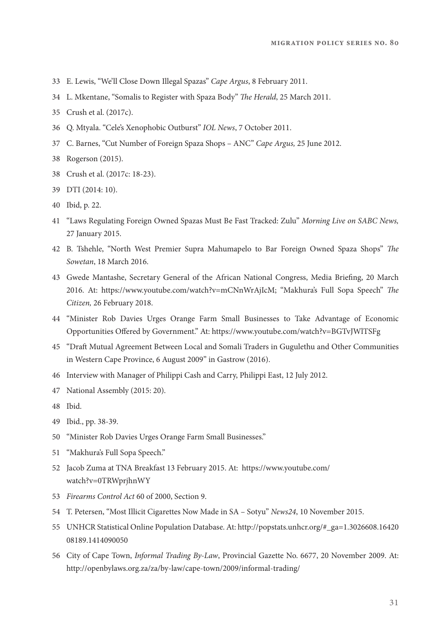- 33 E. Lewis, "We'll Close Down Illegal Spazas" *Cape Argus*, 8 February 2011.
- 34 L. Mkentane, "Somalis to Register with Spaza Body" T*e Herald*, 25 March 2011.
- 35 Crush et al. (2017c).
- 36 Q. Mtyala. "Cele's Xenophobic Outburst" *IOL News*, 7 October 2011.
- 37 C. Barnes, "Cut Number of Foreign Spaza Shops ANC" *Cape Argus,* 25 June 2012.
- 38 Rogerson (2015).
- 38 Crush et al. (2017c: 18-23).
- 39 DTI (2014: 10).
- 40 Ibid, p. 22.
- 41 "Laws Regulating Foreign Owned Spazas Must Be Fast Tracked: Zulu" *Morning Live on SABC News,*  27 January 2015.
- 42 B. Tshehle, "North West Premier Supra Mahumapelo to Bar Foreign Owned Spaza Shops" T*e Sowetan*, 18 March 2016.
- 43 Gwede Mantashe, Secretary General of the African National Congress, Media Briefng, 20 March 2016. At: [https://www.youtube.com/watch?v=mCNnWrAjIcM;](https://www.youtube.com/watch?v=mCNnWrAjIcM) "Makhura's Full Sopa Speech" T*e Citizen,* 26 February 2018.
- 44 "Minister Rob Davies Urges Orange Farm Small Businesses to Take Advantage of Economic Opportunities Ofered by Government." At:<https://www.youtube.com/watch?v=BGTvJWlTSFg>
- 45 "Draf Mutual Agreement Between Local and Somali Traders in Gugulethu and Other Communities in Western Cape Province, 6 August 2009" in Gastrow (2016).
- 46 Interview with Manager of Philippi Cash and Carry, Philippi East, 12 July 2012.
- 47 National Assembly (2015: 20).
- 48 Ibid.
- 49 Ibid., pp. 38-39.
- 50 "Minister Rob Davies Urges Orange Farm Small Businesses."
- 51 "Makhura's Full Sopa Speech."
- 52 Jacob Zuma at TNA Breakfast 13 February 2015. At: https://www.youtube.com/ watch?v=0TRWprjhnWY
- 53 *Firearms Control Act* 60 of 2000, Section 9.
- 54 T. Petersen, "Most Illicit Cigarettes Now Made in SA Sotyu" *News24*, 10 November 2015.
- 55 UNHCR Statistical Online Population Database. At: [http://popstats.unhcr.org/#\\_ga=1.3026608.16420](http://popstats.unhcr.org/#_ga=1.3026608.1642008189.1414090050) [08189.1414090050](http://popstats.unhcr.org/#_ga=1.3026608.1642008189.1414090050)
- 56 City of Cape Town, *Informal Trading By-Law*, Provincial Gazette No. 6677, 20 November 2009. At: <http://openbylaws.org.za/za/by-law/cape-town/2009/informal-trading/>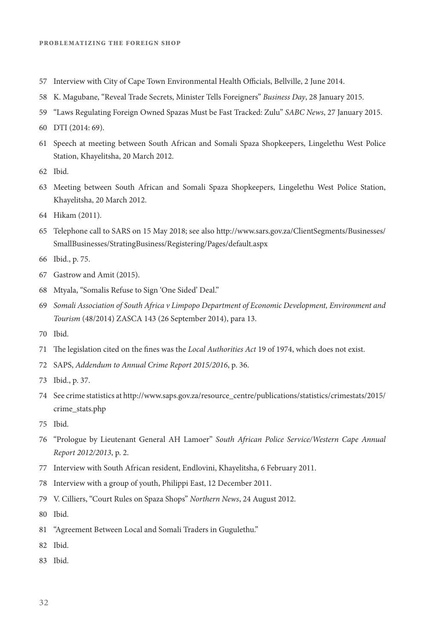- 57 Interview with City of Cape Town Environmental Health Officials, Bellville, 2 June 2014.
- 58 K. Magubane, "Reveal Trade Secrets, Minister Tells Foreigners" *Business Day*, 28 January 2015.
- 59 "Laws Regulating Foreign Owned Spazas Must be Fast Tracked: Zulu" *SABC News*, 27 January 2015.
- 60 DTI (2014: 69).
- 61 Speech at meeting between South African and Somali Spaza Shopkeepers, Lingelethu West Police Station, Khayelitsha, 20 March 2012.
- 62 Ibid.
- 63 Meeting between South African and Somali Spaza Shopkeepers, Lingelethu West Police Station, Khayelitsha, 20 March 2012.
- 64 Hikam (2011).
- 65 Telephone call to SARS on 15 May 2018; see also [http://www.sars.gov.za/ClientSegments/Businesses/](http://www.sars.gov.za/ClientSegments/Businesses/SmallBusinesses/StratingBusiness/Registering/Pages/default.aspx) [SmallBusinesses/StratingBusiness/Registering/Pages/default.aspx](http://www.sars.gov.za/ClientSegments/Businesses/SmallBusinesses/StratingBusiness/Registering/Pages/default.aspx)
- 66 Ibid., p. 75.
- 67 Gastrow and Amit (2015).
- 68 Mtyala, "Somalis Refuse to Sign 'One Sided' Deal."
- 69 *Somali Association of South Africa v Limpopo Department of Economic Development, Environment and Tourism* (48/2014) ZASCA 143 (26 September 2014), para 13.
- 70 Ibid.
- 71 The legislation cited on the fines was the *Local Authorities Act* 19 of 1974, which does not exist.
- 72 SAPS, *Addendum to Annual Crime Report 2015/2016*, p. 36.
- 73 Ibid., p. 37.
- 74 See crime statistics at [http://www.saps.gov.za/resource\\_centre/publications/statistics/crimestats/2015/](http://www.saps.gov.za/resource_centre/publications/statistics/crimestats/2015/crime_stats.php) [crime\\_stats.php](http://www.saps.gov.za/resource_centre/publications/statistics/crimestats/2015/crime_stats.php)
- 75 Ibid.
- 76 "Prologue by Lieutenant General AH Lamoer" *South African Police Service/Western Cape Annual Report 2012/2013*, p. 2.
- 77 Interview with South African resident, Endlovini, Khayelitsha, 6 February 2011.
- 78 Interview with a group of youth, Philippi East, 12 December 2011.
- 79 V. Cilliers, "Court Rules on Spaza Shops" *Northern News*, 24 August 2012.
- 80 Ibid.
- 81 "Agreement Between Local and Somali Traders in Gugulethu."
- 82 Ibid.
- 83 Ibid.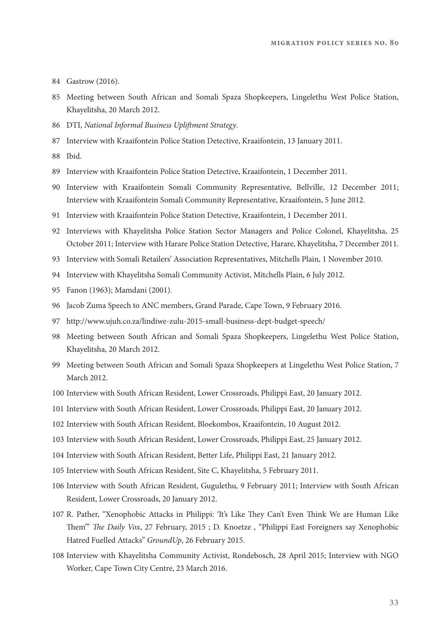- 84 Gastrow (2016).
- 85 Meeting between South African and Somali Spaza Shopkeepers, Lingelethu West Police Station, Khayelitsha, 20 March 2012.
- 86 DTI, *National Informal Business Upli*f*ment Strategy*.
- 87 Interview with Kraaifontein Police Station Detective, Kraaifontein, 13 January 2011.
- 88 Ibid.
- 89 Interview with Kraaifontein Police Station Detective, Kraaifontein, 1 December 2011.
- 90 Interview with Kraaifontein Somali Community Representative, Bellville, 12 December 2011; Interview with Kraaifontein Somali Community Representative, Kraaifontein, 5 June 2012.
- 91 Interview with Kraaifontein Police Station Detective, Kraaifontein, 1 December 2011.
- 92 Interviews with Khayelitsha Police Station Sector Managers and Police Colonel, Khayelitsha, 25 October 2011; Interview with Harare Police Station Detective, Harare, Khayelitsha, 7 December 2011.
- 93 Interview with Somali Retailers' Association Representatives, Mitchells Plain, 1 November 2010.
- 94 Interview with Khayelitsha Somali Community Activist, Mitchells Plain, 6 July 2012.
- 95 Fanon (1963); Mamdani (2001).
- 96 Jacob Zuma Speech to ANC members, Grand Parade, Cape Town, 9 February 2016.
- 97 <http://www.ujuh.co.za/lindiwe-zulu-2015-small-business-dept-budget-speech/>
- 98 Meeting between South African and Somali Spaza Shopkeepers, Lingelethu West Police Station, Khayelitsha, 20 March 2012.
- 99 Meeting between South African and Somali Spaza Shopkeepers at Lingelethu West Police Station, 7 March 2012.
- 100 Interview with South African Resident, Lower Crossroads, Philippi East, 20 January 2012.
- 101 Interview with South African Resident, Lower Crossroads, Philippi East, 20 January 2012.
- 102 Interview with South African Resident, Bloekombos, Kraaifontein, 10 August 2012.
- 103 Interview with South African Resident, Lower Crossroads, Philippi East, 25 January 2012.
- 104 Interview with South African Resident, Better Life, Philippi East, 21 January 2012.
- 105 Interview with South African Resident, Site C, Khayelitsha, 5 February 2011.
- 106 Interview with South African Resident, Gugulethu, 9 February 2011; Interview with South African Resident, Lower Crossroads, 20 January 2012.
- 107 R. Pather, "Xenophobic Attacks in Philippi: 'It's Like They Can't Even Think We are Human Like Tem'" T*e Daily Vox*, 27 February, 2015 ; D. Knoetze , "Philippi East Foreigners say Xenophobic Hatred Fuelled Attacks" *GroundUp*, 26 February 2015.
- 108 Interview with Khayelitsha Community Activist, Rondebosch, 28 April 2015; Interview with NGO Worker, Cape Town City Centre, 23 March 2016.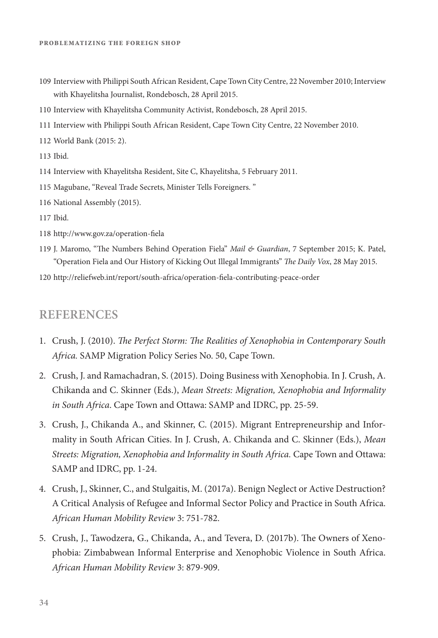- 109 Interview with Philippi South African Resident, Cape Town City Centre, 22 November 2010; Interview with Khayelitsha Journalist, Rondebosch, 28 April 2015.
- 110 Interview with Khayelitsha Community Activist, Rondebosch, 28 April 2015.
- 111 Interview with Philippi South African Resident, Cape Town City Centre, 22 November 2010.
- 112 World Bank (2015: 2).
- 113 Ibid.
- 114 Interview with Khayelitsha Resident, Site C, Khayelitsha, 5 February 2011.
- 115 Magubane, "Reveal Trade Secrets, Minister Tells Foreigners. "
- 116 National Assembly (2015).
- 117 Ibid.
- 118 [http://www.gov.za/operation-](http://www.gov.za/operation-fiela)fela
- 119 J. Maromo, "Te Numbers Behind Operation Fiela" *Mail & Guardian*, 7 September 2015; K. Patel, "Operation Fiela and Our History of Kicking Out Illegal Immigrants" T*e Daily Vox*, 28 May 2015.
- 120 [http://reliefweb.int/report/south-africa/operation-](http://reliefweb.int/report/south-africa/operation-fiela-contributing-peace-order)fela-contributing-peace-order

#### **REFERENCES**

- 1. Crush, J. (2010). T*e Perfect Storm:* T*e Realities of Xenophobia in Contemporary South Africa.* SAMP Migration Policy Series No. 50, Cape Town.
- 2. Crush, J. and Ramachadran, S. (2015). Doing Business with Xenophobia. In J. Crush, A. Chikanda and C. Skinner (Eds.), *Mean Streets: Migration, Xenophobia and Informality in South Africa*. Cape Town and Ottawa: SAMP and IDRC, pp. 25-59.
- 3. Crush, J., Chikanda A., and Skinner, C. (2015). Migrant Entrepreneurship and Informality in South African Cities. In J. Crush, A. Chikanda and C. Skinner (Eds.), *Mean Streets: Migration, Xenophobia and Informality in South Africa.* Cape Town and Ottawa: SAMP and IDRC, pp. 1-24.
- 4. Crush, J., Skinner, C., and Stulgaitis, M. (2017a). Benign Neglect or Active Destruction? A Critical Analysis of Refugee and Informal Sector Policy and Practice in South Africa. *African Human Mobility Review* 3: 751-782.
- 5. Crush, J., Tawodzera, G., Chikanda, A., and Tevera, D. (2017b). The Owners of Xenophobia: Zimbabwean Informal Enterprise and Xenophobic Violence in South Africa. *African Human Mobility Review* 3: 879-909.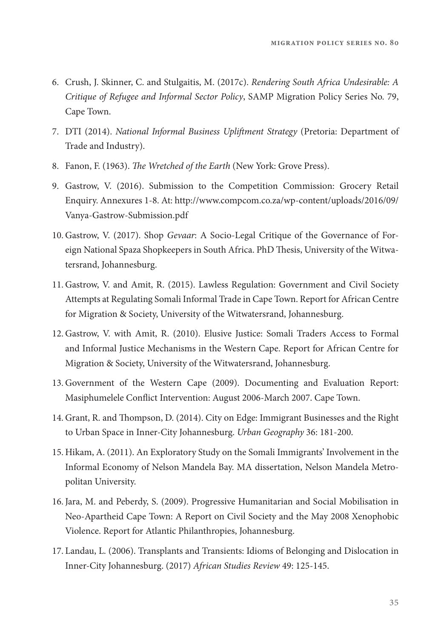- 6. Crush, J. Skinner, C. and Stulgaitis, M. (2017c). *Rendering South Africa Undesirable: A Critique of Refugee and Informal Sector Policy*, SAMP Migration Policy Series No. 79, Cape Town.
- 7. DTI (2014). *National Informal Business Upli*f*ment Strategy* (Pretoria: Department of Trade and Industry).
- 8. Fanon, F. (1963). T*e Wretched of the Earth* (New York: Grove Press).
- 9. Gastrow, V. (2016). Submission to the Competition Commission: Grocery Retail Enquiry. Annexures 1-8. At: [http://www.compcom.co.za/wp-content/uploads/2016/09/](http://www.compcom.co.za/wp-content/uploads/2016/09/Vanya-Gastrow-Submission.pdf) [Vanya-Gastrow-Submission.pdf](http://www.compcom.co.za/wp-content/uploads/2016/09/Vanya-Gastrow-Submission.pdf)
- 10. Gastrow, V. (2017). Shop *Gevaar*: A Socio-Legal Critique of the Governance of Foreign National Spaza Shopkeepers in South Africa. PhD Thesis, University of the Witwatersrand, Johannesburg.
- 11. Gastrow, V. and Amit, R. (2015). Lawless Regulation: Government and Civil Society Attempts at Regulating Somali Informal Trade in Cape Town. Report for African Centre for Migration & Society, University of the Witwatersrand, Johannesburg.
- 12. Gastrow, V. with Amit, R. (2010). Elusive Justice: Somali Traders Access to Formal and Informal Justice Mechanisms in the Western Cape. Report for African Centre for Migration & Society, University of the Witwatersrand, Johannesburg.
- 13. Government of the Western Cape (2009). Documenting and Evaluation Report: Masiphumelele Confict Intervention: August 2006-March 2007. Cape Town.
- 14. Grant, R. and Tompson, D. (2014). City on Edge: Immigrant Businesses and the Right to Urban Space in Inner-City Johannesburg. *Urban Geography* 36: 181-200.
- 15. Hikam, A. (2011). An Exploratory Study on the Somali Immigrants' Involvement in the Informal Economy of Nelson Mandela Bay. MA dissertation, Nelson Mandela Metropolitan University.
- 16.Jara, M. and Peberdy, S. (2009). Progressive Humanitarian and Social Mobilisation in Neo-Apartheid Cape Town: A Report on Civil Society and the May 2008 Xenophobic Violence. Report for Atlantic Philanthropies, Johannesburg.
- 17. Landau, L. (2006). Transplants and Transients: Idioms of Belonging and Dislocation in Inner-City Johannesburg. (2017) *African Studies Review* 49: 125-145.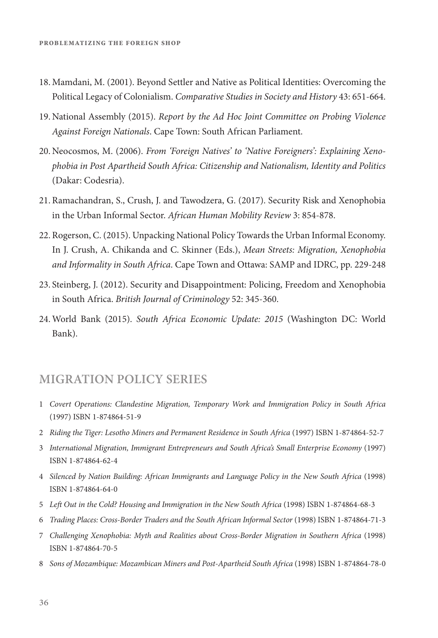- 18. Mamdani, M. (2001). Beyond Settler and Native as Political Identities: Overcoming the Political Legacy of Colonialism. *Comparative Studies in Society and History* 43: 651-664.
- 19. National Assembly (2015). *Report by the Ad Hoc Joint Committee on Probing Violence Against Foreign Nationals*. Cape Town: South African Parliament.
- 20. Neocosmos, M. (2006). *From 'Foreign Natives' to 'Native Foreigners': Explaining Xenophobia in Post Apartheid South Africa: Citizenship and Nationalism, Identity and Politics*  (Dakar: Codesria).
- 21. Ramachandran, S., Crush, J. and Tawodzera, G. (2017). Security Risk and Xenophobia in the Urban Informal Sector. *African Human Mobility Review* 3: 854-878.
- 22. Rogerson, C. (2015). Unpacking National Policy Towards the Urban Informal Economy. In J. Crush, A. Chikanda and C. Skinner (Eds.), *Mean Streets: Migration, Xenophobia and Informality in South Africa*. Cape Town and Ottawa: SAMP and IDRC, pp. 229-248
- 23. Steinberg, J. (2012). Security and Disappointment: Policing, Freedom and Xenophobia in South Africa. *British Journal of Criminology* 52: 345-360.
- 24. World Bank (2015). *South Africa Economic Update: 2015* (Washington DC: World Bank).

#### **MIGRATION POLICY SERIES**

- 1 *Covert Operations: Clandestine Migration, Temporary Work and Immigration Policy in South Africa* (1997) ISBN 1-874864-51-9
- 2 *Riding the Tiger: Lesotho Miners and Permanent Residence in South Africa* (1997) ISBN 1-874864-52-7
- 3 *International Migration, Immigrant Entrepreneurs and South Africa's Small Enterprise Economy* (1997) ISBN 1-874864-62-4
- 4 *Silenced by Nation Building: African Immigrants and Language Policy in the New South Africa* (1998) ISBN 1-874864-64-0
- 5 *Le*f *Out in the Cold? Housing and Immigration in the New South Africa* (1998) ISBN 1-874864-68-3
- 6 *Trading Places: Cross-Border Traders and the South African Informal Sector* (1998) ISBN 1-874864-71-3
- 7 *Challenging Xenophobia: Myth and Realities about Cross-Border Migration in Southern Africa* (1998) ISBN 1-874864-70-5
- 8 *Sons of Mozambique: Mozambican Miners and Post-Apartheid South Africa* (1998) ISBN 1-874864-78-0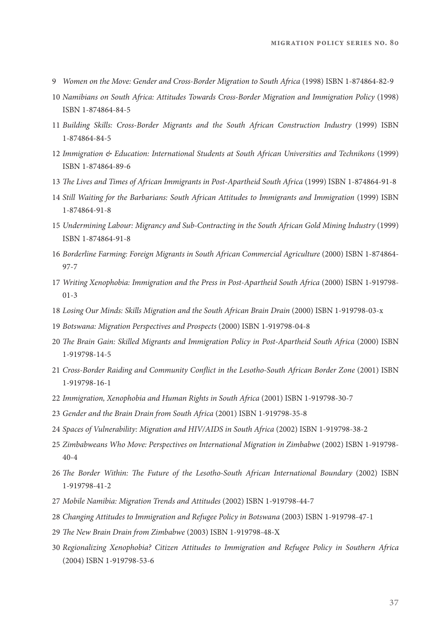- *Women on the Move: Gender and Cross-Border Migration to South Africa* (1998) ISBN 1-874864-82-9
- *Namibians on South Africa: Attitudes Towards Cross-Border Migration and Immigration Policy* (1998) ISBN 1-874864-84-5
- *Building Skills: Cross-Border Migrants and the South African Construction Industry* (1999) ISBN 1-874864-84-5
- *Immigration & Education: International Students at South African Universities and Technikons* (1999) ISBN 1-874864-89-6
- T*e Lives and Times of African Immigrants in Post-Apartheid South Africa* (1999) ISBN 1-874864-91-8
- *Still Waiting for the Barbarians: South African Attitudes to Immigrants and Immigration* (1999) ISBN 1-874864-91-8
- *Undermining Labour: Migrancy and Sub-Contracting in the South African Gold Mining Industry* (1999) ISBN 1-874864-91-8
- *Borderline Farming: Foreign Migrants in South African Commercial Agriculture* (2000) ISBN 1-874864- 97-7
- *Writing Xenophobia: Immigration and the Press in Post-Apartheid South Africa* (2000) ISBN 1-919798- 01-3
- *Losing Our Minds: Skills Migration and the South African Brain Drain* (2000) ISBN 1-919798-03-x
- *Botswana: Migration Perspectives and Prospects* (2000) ISBN 1-919798-04-8
- 20 The Brain Gain: Skilled Migrants and Immigration Policy in Post-Apartheid South Africa (2000) ISBN 1-919798-14-5
- *Cross-Border Raiding and Community Con*f*ict in the Lesotho-South African Border Zone* (2001) ISBN 1-919798-16-1
- *Immigration, Xenophobia and Human Rights in South Africa* (2001) ISBN 1-919798-30-7
- *Gender and the Brain Drain from South Africa* (2001) ISBN 1-919798-35-8
- *Spaces of Vulnerability: Migration and HIV/AIDS in South Africa* (2002) ISBN 1-919798-38-2
- *Zimbabweans Who Move: Perspectives on International Migration in Zimbabwe* (2002) ISBN 1-919798- 40-4
- T*e Border Within:* T*e Future of the Lesotho-South African International Boundary* (2002) ISBN 1-919798-41-2
- *Mobile Namibia: Migration Trends and Attitudes* (2002) ISBN 1-919798-44-7
- *Changing Attitudes to Immigration and Refugee Policy in Botswana* (2003) ISBN 1-919798-47-1
- T*e New Brain Drain from Zimbabwe* (2003) ISBN 1-919798-48-X
- *Regionalizing Xenophobia? Citizen Attitudes to Immigration and Refugee Policy in Southern Africa*  (2004) ISBN 1-919798-53-6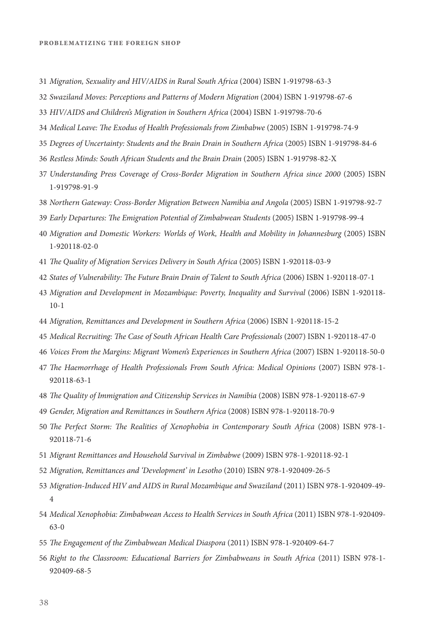- *Migration, Sexuality and HIV/AIDS in Rural South Africa* (2004) ISBN 1-919798-63-3
- *Swaziland Moves: Perceptions and Patterns of Modern Migration* (2004) ISBN 1-919798-67-6
- *HIV/AIDS and Children's Migration in Southern Africa* (2004) ISBN 1-919798-70-6
- *Medical Leave:* T*e Exodus of Health Professionals from Zimbabwe* (2005) ISBN 1-919798-74-9
- *Degrees of Uncertainty: Students and the Brain Drain in Southern Africa* (2005) ISBN 1-919798-84-6
- *Restless Minds: South African Students and the Brain Drain* (2005) ISBN 1-919798-82-X
- *Understanding Press Coverage of Cross-Border Migration in Southern Africa since 2000* (2005) ISBN 1-919798-91-9
- *Northern Gateway: Cross-Border Migration Between Namibia and Angola* (2005) ISBN 1-919798-92-7
- *Early Departures:* T*e Emigration Potential of Zimbabwean Students* (2005) ISBN 1-919798-99-4
- *Migration and Domestic Workers: Worlds of Work, Health and Mobility in Johannesburg* (2005) ISBN 1-920118-02-0
- T*e Quality of Migration Services Delivery in South Africa* (2005) ISBN 1-920118-03-9
- *States of Vulnerability:* T*e Future Brain Drain of Talent to South Africa* (2006) ISBN 1-920118-07-1
- *Migration and Development in Mozambique: Poverty, Inequality and Survival (2006) ISBN 1-920118-*10-1
- *Migration, Remittances and Development in Southern Africa* (2006) ISBN 1-920118-15-2
- *Medical Recruiting:* T*e Case of South African Health Care Professionals* (2007) ISBN 1-920118-47-0
- *Voices From the Margins: Migrant Women's Experiences in Southern Africa* (2007) ISBN 1-920118-50-0
- T*e Haemorrhage of Health Professionals From South Africa: Medical Opinions* (2007) ISBN 978-1- 920118-63-1
- T*e Quality of Immigration and Citizenship Services in Namibia* (2008) ISBN 978-1-920118-67-9
- *Gender, Migration and Remittances in Southern Africa* (2008) ISBN 978-1-920118-70-9
- T*e Perfect Storm:* T*e Realities of Xenophobia in Contemporary South Africa* (2008) ISBN 978-1- 920118-71-6
- *Migrant Remittances and Household Survival in Zimbabwe* (2009) ISBN 978-1-920118-92-1
- *Migration, Remittances and 'Development' in Lesotho* (2010) ISBN 978-1-920409-26-5
- *Migration-Induced HIV and AIDS in Rural Mozambique and Swaziland* (2011) ISBN 978-1-920409-49-
- *Medical Xenophobia: Zimbabwean Access to Health Services in South Africa* (2011) ISBN 978-1-920409- 63-0
- T*e Engagement of the Zimbabwean Medical Diaspora* (2011) ISBN 978-1-920409-64-7
- *Right to the Classroom: Educational Barriers for Zimbabweans in South Africa* (2011) ISBN 978-1- 920409-68-5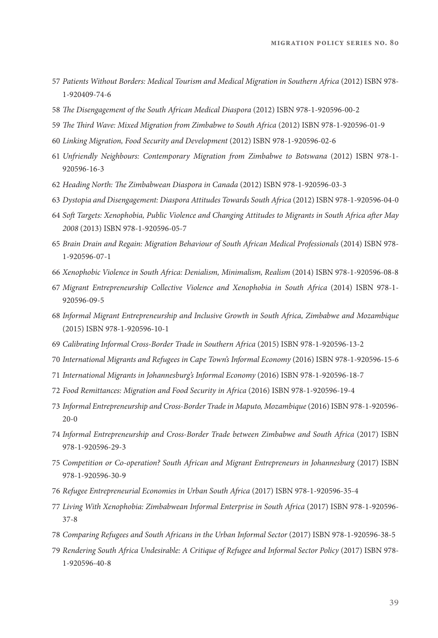- *Patients Without Borders: Medical Tourism and Medical Migration in Southern Africa* (2012) ISBN 978- 1-920409-74-6
- T*e Disengagement of the South African Medical Diaspora* (2012) ISBN 978-1-920596-00-2
- T*e* T*ird Wave: Mixed Migration from Zimbabwe to South Africa* (2012) ISBN 978-1-920596-01-9
- *Linking Migration, Food Security and Development* (2012) ISBN 978-1-920596-02-6
- *Unfriendly Neighbours: Contemporary Migration from Zimbabwe to Botswana* (2012) ISBN 978-1- 920596-16-3
- *Heading North:* T*e Zimbabwean Diaspora in Canada* (2012) ISBN 978-1-920596-03-3
- *Dystopia and Disengagement: Diaspora Attitudes Towards South Africa* (2012) ISBN 978-1-920596-04-0
- *So*f *Targets: Xenophobia, Public Violence and Changing Attitudes to Migrants in South Africa a*f*er May*  (2013) ISBN 978-1-920596-05-7
- *Brain Drain and Regain: Migration Behaviour of South African Medical Professionals* (2014) ISBN 978- 1-920596-07-1
- *Xenophobic Violence in South Africa: Denialism, Minimalism, Realism* (2014) ISBN 978-1-920596-08-8
- *Migrant Entrepreneurship Collective Violence and Xenophobia in South Africa* (2014) ISBN 978-1- 920596-09-5
- *Informal Migrant Entrepreneurship and Inclusive Growth in South Africa, Zimbabwe and Mozambique* (2015) ISBN 978-1-920596-10-1
- *Calibrating Informal Cross-Border Trade in Southern Africa* (2015) ISBN 978-1-920596-13-2
- *International Migrants and Refugees in Cape Town's Informal Economy* (2016) ISBN 978-1-920596-15-6
- *International Migrants in Johannesburg's Informal Economy* (2016) ISBN 978-1-920596-18-7
- *Food Remittances: Migration and Food Security in Africa* (2016) ISBN 978-1-920596-19-4
- *Informal Entrepreneurship and Cross-Border Trade in Maputo, Mozambique* (2016) ISBN 978-1-920596- 20-0
- *Informal Entrepreneurship and Cross-Border Trade between Zimbabwe and South Africa* (2017) ISBN 978-1-920596-29-3
- *Competition or Co-operation? South African and Migrant Entrepreneurs in Johannesburg* (2017) ISBN 978-1-920596-30-9
- *Refugee Entrepreneurial Economies in Urban South Africa* (2017) ISBN 978-1-920596-35-4
- *Living With Xenophobia: Zimbabwean Informal Enterprise in South Africa* (2017) ISBN 978-1-920596- 37-8
- *Comparing Refugees and South Africans in the Urban Informal Sector* (2017) ISBN 978-1-920596-38-5
- *Rendering South Africa Undesirable: A Critique of Refugee and Informal Sector Policy* (2017) ISBN 978- 1-920596-40-8